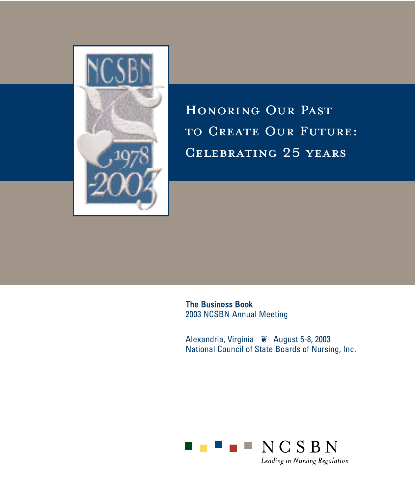

Honoring Our Past to Create Our Future: Celebrating 25 years

The Business Book 2003 NCSBN Annual Meeting

Alexandria, Virginia ❦ August 5-8, 2003 National Council of State Boards of Nursing, Inc.

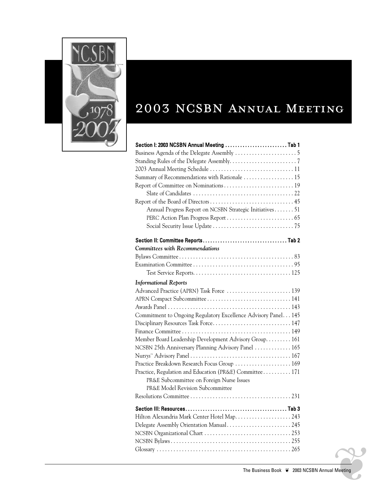

## 2003 NCSBN Annual Meeting

| Section I: 2003 NCSBN Annual Meeting  Tab 1                    |
|----------------------------------------------------------------|
|                                                                |
|                                                                |
| 2003 Annual Meeting Schedule  11                               |
| Summary of Recommendations with Rationale  15                  |
| Report of Committee on Nominations 19                          |
|                                                                |
|                                                                |
| Annual Progress Report on NCSBN Strategic Initiatives 51       |
|                                                                |
|                                                                |
|                                                                |
| Committees with Recommendations                                |
|                                                                |
|                                                                |
|                                                                |
| <b>Informational Reports</b>                                   |
| Advanced Practice (APRN) Task Force  139                       |
|                                                                |
|                                                                |
| Commitment to Ongoing Regulatory Excellence Advisory Panel 145 |
|                                                                |
|                                                                |
| Member Board Leadership Development Advisory Group 161         |
| NCSBN 25th Anniversary Planning Advisory Panel  165            |
|                                                                |
| Practice Breakdown Research Focus Group  169                   |
| Practice, Regulation and Education (PR&E) Committee 171        |
| PR&E Subcommittee on Foreign Nurse Issues                      |
| PR&E Model Revision Subcommittee                               |
|                                                                |
|                                                                |
|                                                                |
|                                                                |
|                                                                |
|                                                                |
|                                                                |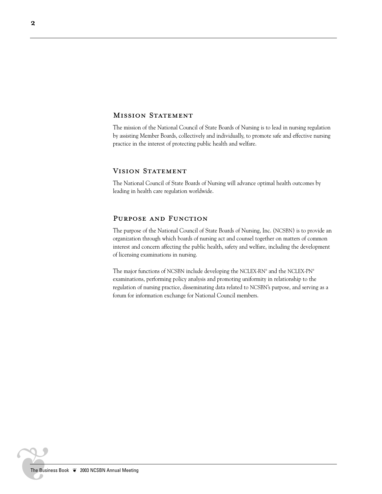### **MISSION STATEMENT**

The mission of the National Council of State Boards of Nursing is to lead in nursing regulation by assisting Member Boards, collectively and individually, to promote safe and effective nursing practice in the interest of protecting public health and welfare.

### VISION STATEMENT

The National Council of State Boards of Nursing will advance optimal health outcomes by leading in health care regulation worldwide.

### PURPOSE AND FUNCTION

The purpose of the National Council of State Boards of Nursing, Inc. (NCSBN) is to provide an organization through which boards of nursing act and counsel together on matters of common interest and concern affecting the public health, safety and welfare, including the development of licensing examinations in nursing.

The major functions of NCSBN include developing the NCLEX-RN® and the NCLEX-PN® examinations, performing policy analysis and promoting uniformity in relationship to the regulation of nursing practice, disseminating data related to NCSBN's purpose, and serving as a forum for information exchange for National Council members.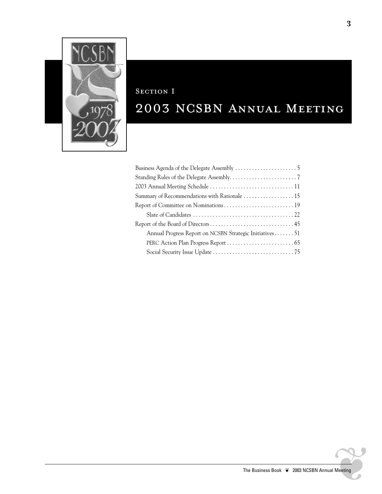<span id="page-3-0"></span>

### SECTION I

## 2003 NCSBN Annual Meeting

| Summary of Recommendations with Rationale  15           |
|---------------------------------------------------------|
|                                                         |
|                                                         |
|                                                         |
| Annual Progress Report on NCSBN Strategic Initiatives51 |
|                                                         |
|                                                         |

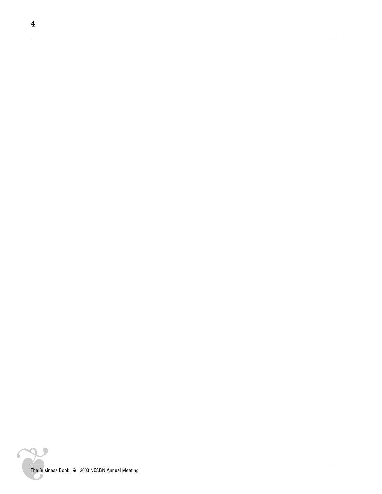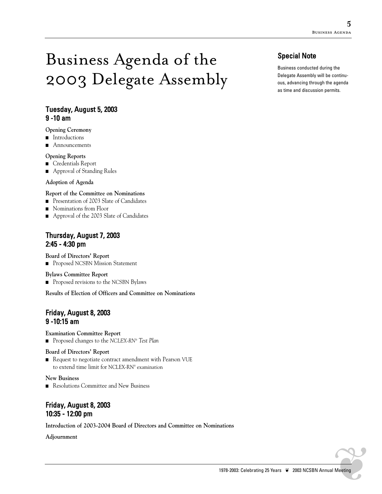# <span id="page-5-0"></span>Business Agenda of the 2003 Delegate Assembly

### Tuesday, August 5, 2003 9 -10 am

### **Opening Ceremony**

- Introductions
- Announcements

### **Opening Reports**

- Credentials Report
- Approval of Standing Rules

### **Adoption of Agenda**

### **Report of the Committee on Nominations**

- Presentation of 2003 Slate of Candidates
- Nominations from Floor
- Approval of the 2003 Slate of Candidates

### Thursday, August 7, 2003 2:45 - 4:30 pm

### **Board of Directors' Report**

■ Proposed NCSBN Mission Statement

### **Bylaws Committee Report**

■ Proposed revisions to the NCSBN Bylaws

**Results of Election of Officers and Committee on Nominations**

### Friday, August 8, 2003 9 -10:15 am

#### **Examination Committee Report**

■ Proposed changes to the *NCLEX-RN® Test Plan*

#### **Board of Directors' Report**

■ Request to negotiate contract amendment with Pearson VUE to extend time limit for NCLEX-RN*®* examination

#### **New Business**

■ Resolutions Committee and New Business

### Friday, August 8, 2003 10:35 - 12:00 pm

**Introduction of 2003-2004 Board of Directors and Committee on Nominations**

**Adjournment**

### Special Note

Business conducted during the Delegate Assembly will be continuous, advancing through the agenda as time and discussion permits.

Meeting 1978-2003: Celebrating 25 Years  $\cdot\cdot\cdot$  2003 NCSBN Annual Meeting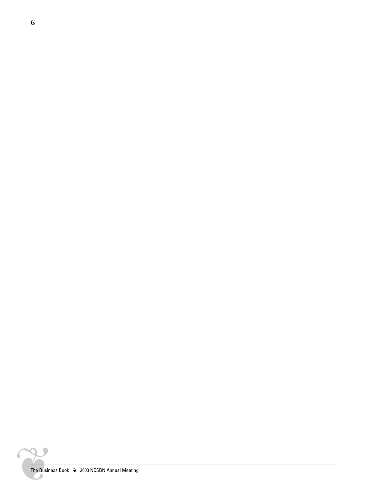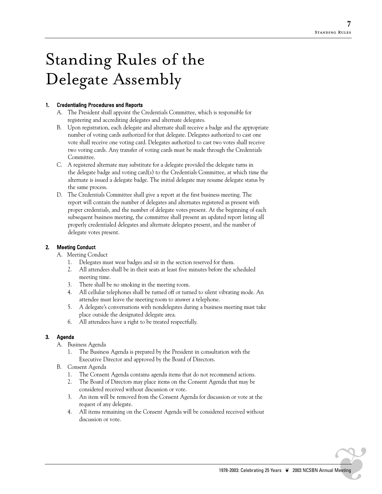# <span id="page-7-0"></span>Standing Rules of the Delegate Assembly

### 1. Credentialing Procedures and Reports

- A. The President shall appoint the Credentials Committee, which is responsible for registering and accrediting delegates and alternate delegates.
- B. Upon registration, each delegate and alternate shall receive a badge and the appropriate number of voting cards authorized for that delegate. Delegates authorized to cast one vote shall receive one voting card. Delegates authorized to cast two votes shall receive two voting cards. Any transfer of voting cards must be made through the Credentials Committee.
- C. A registered alternate may substitute for a delegate provided the delegate turns in the delegate badge and voting card(s) to the Credentials Committee, at which time the alternate is issued a delegate badge. The initial delegate may resume delegate status by the same process.
- D. The Credentials Committee shall give a report at the first business meeting. The report will contain the number of delegates and alternates registered as present with proper credentials, and the number of delegate votes present. At the beginning of each subsequent business meeting, the committee shall present an updated report listing all properly credentialed delegates and alternate delegates present, and the number of delegate votes present.

### 2. Meeting Conduct

- A. Meeting Conduct
	- 1. Delegates must wear badges and sit in the section reserved for them.
	- 2. All attendees shall be in their seats at least five minutes before the scheduled meeting time.
	- 3. There shall be no smoking in the meeting room.
	- 4. All cellular telephones shall be turned off or turned to silent vibrating mode. An attendee must leave the meeting room to answer a telephone.
	- 5. A delegate's conversations with nondelegates during a business meeting must take place outside the designated delegate area.
	- 6. All attendees have a right to be treated respectfully.

### 3. Agenda

- A. Business Agenda
	- 1. The Business Agenda is prepared by the President in consultation with the Executive Director and approved by the Board of Directors.
- B. Consent Agenda
	- 1. The Consent Agenda contains agenda items that do not recommend actions.
	- 2. The Board of Directors may place items on the Consent Agenda that may be considered received without discussion or vote.
	- 3. An item will be removed from the Consent Agenda for discussion or vote at the request of any delegate.
	- 4. All items remaining on the Consent Agenda will be considered received without discussion or vote.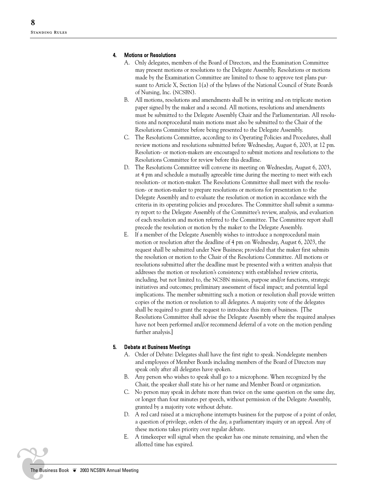### 4. Motions or Resolutions

- A. Only delegates, members of the Board of Directors, and the Examination Committee may present motions or resolutions to the Delegate Assembly. Resolutions or motions made by the Examination Committee are limited to those to approve test plans pursuant to Article X, Section 1(a) of the bylaws of the National Council of State Boards of Nursing, Inc. (NCSBN).
- B. All motions, resolutions and amendments shall be in writing and on triplicate motion paper signed by the maker and a second. All motions, resolutions and amendments must be submitted to the Delegate Assembly Chair and the Parliamentarian. All resolutions and nonprocedural main motions must also be submitted to the Chair of the Resolutions Committee before being presented to the Delegate Assembly.
- C. The Resolutions Committee, according to its Operating Policies and Procedures, shall review motions and resolutions submitted before Wednesday, August 6, 2003, at 12 pm. Resolution- or motion-makers are encouraged to submit motions and resolutions to the Resolutions Committee for review before this deadline.
- D. The Resolutions Committee will convene its meeting on Wednesday, August 6, 2003, at 4 pm and schedule a mutually agreeable time during the meeting to meet with each resolution- or motion-maker. The Resolutions Committee shall meet with the resolution- or motion-maker to prepare resolutions or motions for presentation to the Delegate Assembly and to evaluate the resolution or motion in accordance with the criteria in its operating policies and procedures. The Committee shall submit a summary report to the Delegate Assembly of the Committee's review, analysis, and evaluation of each resolution and motion referred to the Committee. The Committee report shall precede the resolution or motion by the maker to the Delegate Assembly.
- E. If a member of the Delegate Assembly wishes to introduce a nonprocedural main motion or resolution after the deadline of 4 pm on Wednesday, August 6, 2003, the request shall be submitted under New Business; provided that the maker first submits the resolution or motion to the Chair of the Resolutions Committee. All motions or resolutions submitted after the deadline must be presented with a written analysis that addresses the motion or resolution's consistency with established review criteria, including, but not limited to, the NCSBN mission, purpose and/or functions, strategic initiatives and outcomes; preliminary assessment of fiscal impact; and potential legal implications. The member submitting such a motion or resolution shall provide written copies of the motion or resolution to all delegates. A majority vote of the delegates shall be required to grant the request to introduce this item of business. [The Resolutions Committee shall advise the Delegate Assembly where the required analyses have not been performed and/or recommend deferral of a vote on the motion pending further analysis.]

#### 5. Debate at Business Meetings

- A. Order of Debate: Delegates shall have the first right to speak. Nondelegate members and employees of Member Boards including members of the Board of Directors may speak only after all delegates have spoken.
- B. Any person who wishes to speak shall go to a microphone. When recognized by the Chair, the speaker shall state his or her name and Member Board or organization.
- C. No person may speak in debate more than twice on the same question on the same day, or longer than four minutes per speech, without permission of the Delegate Assembly, granted by a majority vote without debate.
- D. A red card raised at a microphone interrupts business for the purpose of a point of order, a question of privilege, orders of the day, a parliamentary inquiry or an appeal. Any of these motions takes priority over regular debate.
- E. A timekeeper will signal when the speaker has one minute remaining, and when the allotted time has expired.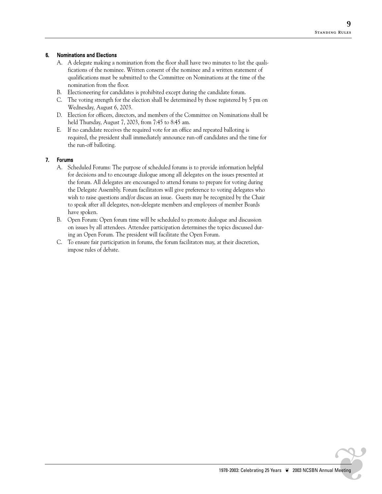### 6. Nominations and Elections

- A. A delegate making a nomination from the floor shall have two minutes to list the qualifications of the nominee. Written consent of the nominee and a written statement of qualifications must be submitted to the Committee on Nominations at the time of the nomination from the floor.
- B. Electioneering for candidates is prohibited except during the candidate forum.
- C. The voting strength for the election shall be determined by those registered by 5 pm on Wednesday, August 6, 2003.
- D. Election for officers, directors, and members of the Committee on Nominations shall be held Thursday, August 7, 2003, from 7:45 to 8:45 am.
- E. If no candidate receives the required vote for an office and repeated balloting is required, the president shall immediately announce run-off candidates and the time for the run-off balloting.

### 7. Forums

- A. Scheduled Forums: The purpose of scheduled forums is to provide information helpful for decisions and to encourage dialogue among all delegates on the issues presented at the forum. All delegates are encouraged to attend forums to prepare for voting during the Delegate Assembly. Forum facilitators will give preference to voting delegates who wish to raise questions and/or discuss an issue. Guests may be recognized by the Chair to speak after all delegates, non-delegate members and employees of member Boards have spoken.
- B. Open Forum: Open forum time will be scheduled to promote dialogue and discussion on issues by all attendees. Attendee participation determines the topics discussed during an Open Forum. The president will facilitate the Open Forum.
- C. To ensure fair participation in forums, the forum facilitators may, at their discretion, impose rules of debate.

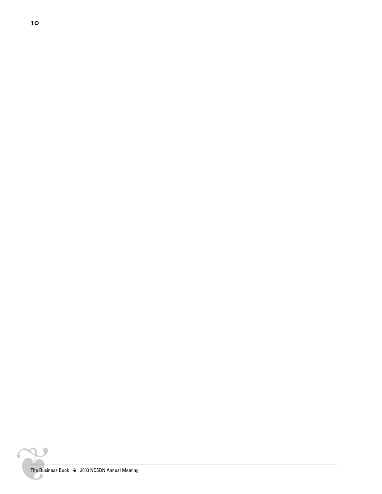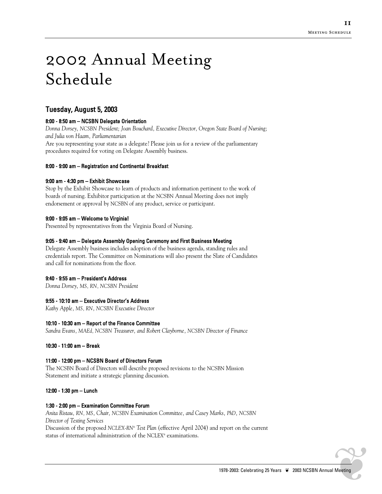## <span id="page-11-0"></span>2002 Annual Meeting Schedule

### Tuesday, August 5, 2003

### 8:00 - 8:50 am – NCSBN Delegate Orientation

*Donna Dorsey, NCSBN President; Joan Bouchard, Executive Director, Oregon State Board of Nursing; and Julia von Haam, Parliamentarian* Are you representing your state as a delegate? Please join us for a review of the parliamentary procedures required for voting on Delegate Assembly business.

### 8:00 - 9:00 am – Registration and Continental Breakfast

### 9:00 am - 4:30 pm – Exhibit Showcase

Stop by the Exhibit Showcase to learn of products and information pertinent to the work of boards of nursing. Exhibitor participation at the NCSBN Annual Meeting does not imply endorsement or approval by NCSBN of any product, service or participant.

### 9:00 - 9:05 am – Welcome to Virginia!

Presented by representatives from the Virginia Board of Nursing.

### 9:05 - 9:40 am – Delegate Assembly Opening Ceremony and First Business Meeting

Delegate Assembly business includes adoption of the business agenda, standing rules and credentials report. The Committee on Nominations will also present the Slate of Candidates and call for nominations from the floor.

### 9:40 - 9:55 am – President's Address

*Donna Dorsey, MS, RN, NCSBN President*

### 9:55 - 10:10 am – Executive Director's Address

*Kathy Apple, MS, RN, NCSBN Executive Director*

#### 10:10 - 10:30 am – Report of the Finance Committee

*Sandra Evans, MAEd, NCSBN Treasurer, and Robert Clayborne, NCSBN Director of Finance*

#### 10:30 - 11:00 am – Break

### 11:00 - 12:00 pm – NCSBN Board of Directors Forum

The NCSBN Board of Directors will describe proposed revisions to the NCSBN Mission Statement and initiate a strategic planning discussion.

### 12:00 - 1:30 pm – Lunch

#### 1:30 - 2:00 pm – Examination Committee Forum

*Anita Ristau, RN, MS, Chair, NCSBN Examination Committee, and Casey Marks, PhD, NCSBN Director of Testing Services* Discussion of the proposed *NCLEX-RN® Test Plan* (effective April 2004) and report on the current

status of international administration of the NCLEX® examinations.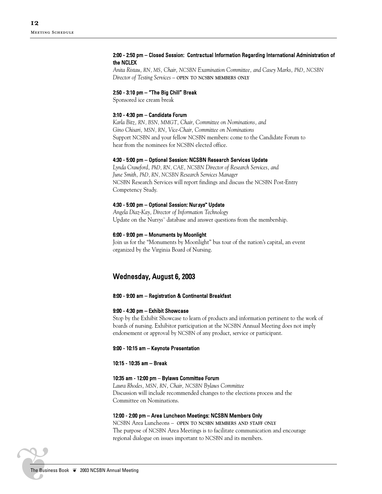### 2:00 - 2:50 pm – Closed Session: Contractual Information Regarding International Administration of the NCLEX

*Anita Ristau, RN, MS, Chair, NCSBN Examination Committee, and Casey Marks, PhD, NCSBN Director of Testing Services –* **OPEN TO NCSBN MEMBERS ONLY**

### 2:50 - 3:10 pm – "The Big Chill" Break

Sponsored ice cream break

### 3:10 - 4:30 pm – Candidate Forum

*Karla Bitz, RN, BSN, MMGT, Chair, Committee on Nominations, and Gino Chisari, MSN, RN, Vice-Chair, Committee on Nominations* Support NCSBN and your fellow NCSBN members: come to the Candidate Forum to hear from the nominees for NCSBN elected office.

#### 4:30 - 5:00 pm – Optional Session: NCSBN Research Services Update

*Lynda Crawford, PhD, RN, CAE, NCSBN Director of Research Services, and June Smith, PhD, RN, NCSBN Research Services Manager* NCSBN Research Services will report findings and discuss the NCSBN Post-Entry Competency Study.

#### 4:30 - 5:00 pm – Optional Session: Nursys™ Update

*Angela Diaz-Kay, Director of Information Technology* Update on the Nur*sys*™ database and answer questions from the membership.

#### 6:00 - 9:00 pm – Monuments by Moonlight

Join us for the "Monuments by Moonlight" bus tour of the nation's capital, an event organized by the Virginia Board of Nursing.

### Wednesday, August 6, 2003

#### 8:00 - 9:00 am – Registration & Continental Breakfast

#### 9:00 - 4:30 pm – Exhibit Showcase

Stop by the Exhibit Showcase to learn of products and information pertinent to the work of boards of nursing. Exhibitor participation at the NCSBN Annual Meeting does not imply endorsement or approval by NCSBN of any product, service or participant.

#### 9:00 - 10:15 am – Keynote Presentation

### 10:15 - 10:35 am – Break

#### 10:35 am - 12:00 pm – Bylaws Committee Forum

*Laura Rhodes, MSN, RN, Chair, NCSBN Bylaws Committee* Discussion will include recommended changes to the elections process and the Committee on Nominations.

#### 12:00 - 2:00 pm – Area Luncheon Meetings: NCSBN Members Only

NCSBN Area Luncheons – **OPEN TO NCSBN MEMBERS AND STAFF ONLY** The purpose of NCSBN Area Meetings is to facilitate communication and encourage regional dialogue on issues important to NCSBN and its members.

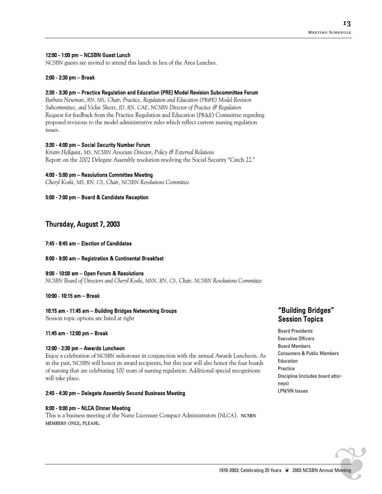### 12:00 - 1:00 pm – NCSBN Guest Lunch

NCSBN guests are invited to attend this lunch in lieu of the Area Lunches.

### 2:00 - 2:30 pm – Break

### 2:30 - 3:30 pm – Practice Regulation and Education (PRE) Model Revision Subcommittee Forum

*Barbara Newman, RN, MS, Chair, Practice, Regulation and Education (PR&E) Model Revision Subcommittee, and Vickie Sheets, JD, RN, CAE, NCSBN Director of Practice & Regulation* Request for feedback from the Practice Regulation and Education (PR&E) Committee regarding proposed revisions to the model administrative rules which reflect current nursing regulation issues.

### 3:30 - 4:00 pm – Social Security Number Forum

*Kristin Hellquist, MS, NCSBN Associate Director, Policy & External Relations* Report on the 2002 Delegate Assembly resolution resolving the Social Security "Catch 22."

### 4:00 - 5:00 pm – Resolutions Committee Meeting

*Cheryl Koski, MS, RN, CS, Chair, NCSBN Resolutions Committee*

5:00 - 7:00 pm – Board & Candidate Reception

### Thursday, August 7, 2003

### 7:45 - 8:45 am – Election of Candidates

#### 8:00 - 9:00 am – Registration & Continental Breakfast

#### 9:00 - 10:00 am – Open Forum & Resolutions

*NCSBN Board of Directors and Cheryl Koski, MSN, RN, CS, Chair, NCSBN Resolutions Committee*

#### 10:00 - 10:15 am – Break

#### 10:15 am - 11:45 am – Building Bridges Networking Groups

Session topic options are listed at right

11:45 am - 12:00 pm – Break

### 12:00 - 2:30 pm – Awards Luncheon

Enjoy a celebration of NCSBN milestones in conjunction with the annual Awards Luncheon. As in the past, NCSBN will honor its award recipients, but this year will also honor the four boards of nursing that are celebrating 100 years of nursing regulation. Additional special recognitions will take place.

#### 2:45 - 4:30 pm – Delegate Assembly Second Business Meeting

#### 6:00 - 9:00 pm – NLCA Dinner Meeting

This is a business meeting of the Nurse Licensure Compact Administrators (NLCA). **NCSBN MEMBERS ONLY, PLEASE.**

### "Building Bridges" Session Topics

Board Presidents Executive Officers Board Members Consumers & Public Members Education Practice Discipline (includes board attorneys) LPN/VN Issues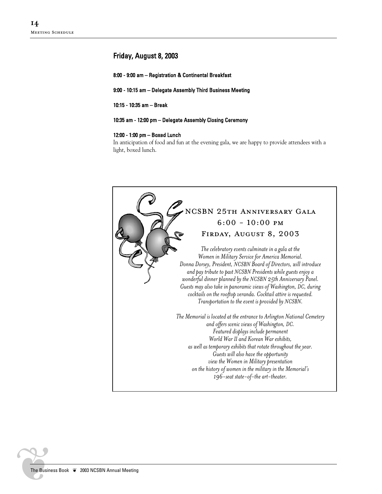### Friday, August 8, 2003

8:00 - 9:00 am – Registration & Continental Breakfast

9:00 - 10:15 am – Delegate Assembly Third Business Meeting

10:15 - 10:35 am – Break

10:35 am - 12:00 pm – Delegate Assembly Closing Ceremony

#### 12:00 - 1:00 pm – Boxed Lunch

In anticipation of food and fun at the evening gala, we are happy to provide attendees with a light, boxed lunch.

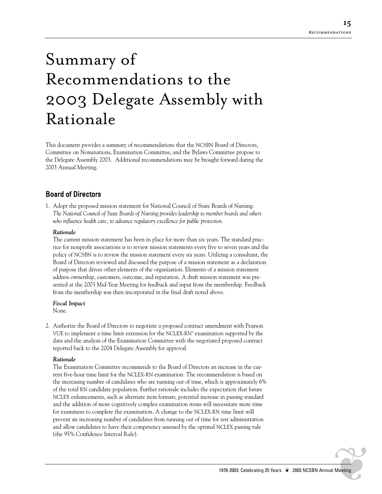## <span id="page-15-0"></span>Summary of Recommendations to the 2003 Delegate Assembly with Rationale

This document provides a summary of recommendations that the NCSBN Board of Directors, Committee on Nominations, Examination Committee, and the Bylaws Committee propose to the Delegate Assembly 2003. Additional recommendations may be brought forward during the 2003 Annual Meeting.

### Board of Directors

1. Adopt the proposed mission statement for National Council of State Boards of Nursing: *The National Council of State Boards of Nursing provides leadership to member boards and others who influence health care, to advance regulatory excellence for public protection.*

### *Rationale*

The current mission statement has been in place for more than six years. The standard practice for nonprofit associations is to review mission statements every five to seven years and the policy of NCSBN is to review the mission statement every six years. Utilizing a consultant, the Board of Directors reviewed and discussed the purpose of a mission statement as a declaration of purpose that drives other elements of the organization. Elements of a mission statement address ownership, customers, outcome, and reputation. A draft mission statement was presented at the 2003 Mid-Year Meeting for feedback and input from the membership. Feedback from the membership was then incorporated in the final draft noted above.

### *Fiscal Impact*

None.

2. Authorize the Board of Directors to negotiate a proposed contract amendment with Pearson VUE to implement a time limit extension for the NCLEX-RN® examination supported by the data and the analysis of the Examination Committee with the negotiated proposed contract reported back to the 2004 Delegate Assembly for approval.

### *Rationale*

The Examination Committee recommends to the Board of Directors an increase in the current five-hour time limit for the NCLEX-RN examination. The recommendation is based on the increasing number of candidates who are running out of time, which is approximately 6% of the total RN candidate population. Further rationale includes the expectation that future NCLEX enhancements, such as alternate item formats, potential increase in passing standard and the addition of more cognitively complex examination items will necessitate more time for examinees to complete the examination. A change to the NCLEX-RN time limit will prevent an increasing number of candidates from running out of time for test administration and allow candidates to have their competency assessed by the optimal NCLEX passing rule (the 95% Confidence Interval Rule).

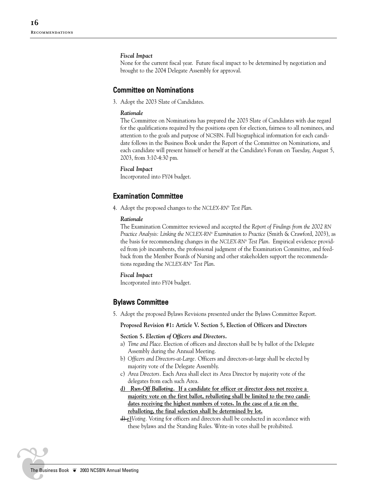### *Fiscal Impact*

None for the current fiscal year. Future fiscal impact to be determined by negotiation and brought to the 2004 Delegate Assembly for approval.

### Committee on Nominations

3. Adopt the 2003 Slate of Candidates.

### *Rationale*

The Committee on Nominations has prepared the 2003 Slate of Candidates with due regard for the qualifications required by the positions open for election, fairness to all nominees, and attention to the goals and purpose of NCSBN. Full biographical information for each candidate follows in the Business Book under the Report of the Committee on Nominations, and each candidate will present himself or herself at the Candidate's Forum on Tuesday, August 5, 2003, from 3:10-4:30 pm.

#### *Fiscal Impact*

Incorporated into FY04 budget.

### Examination Committee

4. Adopt the proposed changes to the *NCLEX-RN® Test Plan*.

### *Rationale*

The Examination Committee reviewed and accepted the *Report of Findings from the 2002 RN Practice Analysis: Linking the NCLEX-RN® Examination to Practice* (Smith & Crawford, 2003), as the basis for recommending changes in the *NCLEX-RN® Test Plan*. Empirical evidence provided from job incumbents, the professional judgment of the Examination Committee, and feedback from the Member Boards of Nursing and other stakeholders support the recommendations regarding the *NCLEX-RN® Test Plan*.

#### *Fiscal Impact*

Incorporated into FY04 budget.

### Bylaws Committee

5. Adopt the proposed Bylaws Revisions presented under the Bylaws Committee Report.

### **Proposed Revision #1: Article V. Section 5, Election of Officers and Directors**

### **Section 5.** *Election of Officers and Directors.*

- a) *Time and Place*. Election of officers and directors shall be by ballot of the Delegate Assembly during the Annual Meeting.
- b) *Officers and Directors-at-Large.* Officers and directors-at-large shall be elected by majority vote of the Delegate Assembly.
- c) *Area Directors.* Each Area shall elect its Area Director by majority vote of the delegates from each such Area.
- **d)** *Run-Off Balloting.* **If a candidate for officer or director does not receive a majority vote on the first ballot, reballoting shall be limited to the two candidates receiving the highest numbers of votes. In the case of a tie on the reballoting, the final selection shall be determined by lot.**
- d) **e)***Voting.* Voting for officers and directors shall be conducted in accordance with these bylaws and the Standing Rules. Write-in votes shall be prohibited.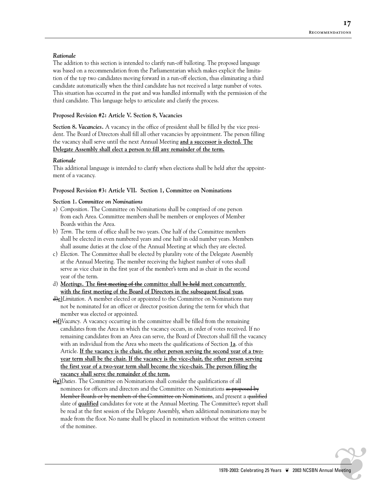### *Rationale*

The addition to this section is intended to clarify run-off balloting. The proposed language was based on a recommendation from the Parliamentarian which makes explicit the limitation of the top two candidates moving forward in a run-off election, thus eliminating a third candidate automatically when the third candidate has not received a large number of votes. This situation has occurred in the past and was handled informally with the permission of the third candidate. This language helps to articulate and clarify the process.

### **Proposed Revision #2: Article V. Section 8, Vacancies**

**Section 8.** *Vacancies.* A vacancy in the office of president shall be filled by the vice president. The Board of Directors shall fill all other vacancies by appointment. The person filling the vacancy shall serve until the next Annual Meeting **and a successor is elected. The Delegate Assembly shall elect a person to fill any remainder of the term.**

### *Rationale*

This additional language is intended to clarify when elections shall be held after the appointment of a vacancy.

### **Proposed Revision #3: Article VII. Section 1, Committee on Nominations**

### **Section 1.** *Committee on Nominations*

- a) *Composition.* The Committee on Nominations shall be comprised of one person from each Area. Committee members shall be members or employees of Member Boards within the Area.
- b) *Term.* The term of office shall be two years. One half of the Committee members shall be elected in even numbered years and one half in odd number years. Members shall assume duties at the close of the Annual Meeting at which they are elected.
- c) *Election.* The Committee shall be elected by plurality vote of the Delegate Assembly at the Annual Meeting. The member receiving the highest number of votes shall serve as vice chair in the first year of the member's term and as chair in the second year of the term.
- d) *Meetings.* **The first meeting of the committee shall be held meet concurrently with the first meeting of the Board of Directors in the subsequent fiscal year.**
- d)**e)***Limitation.* A member elected or appointed to the Committee on Nominations may not be nominated for an officer or director position during the term for which that member was elected or appointed.
- e)**f)***Vacancy.* A vacancy occurring in the committee shall be filled from the remaining candidates from the Area in which the vacancy occurs, in order of votes received. If no remaining candidates from an Area can serve, the Board of Directors shall fill the vacancy with an individual from the Area who meets the qualifications of Section **1a**. of this Article. **If the vacancy is the chair, the other person serving the second year of a twoyear term shall be the chair. If the vacancy is the vice-chair, the other person serving the first year of a two-year term shall become the vice-chair. The person filling the vacancy shall serve the remainder of the term.**
- f)**g)***Duties.* The Committee on Nominations shall consider the qualifications of all nominees for officers and directors and the Committee on Nominations as proposed by Member Boards or by members of the Committee on Nominations, and present a qualified slate of **qualified** candidates for vote at the Annual Meeting. The Committee's report shall be read at the first session of the Delegate Assembly, when additional nominations may be made from the floor. No name shall be placed in nomination without the written consent of the nominee.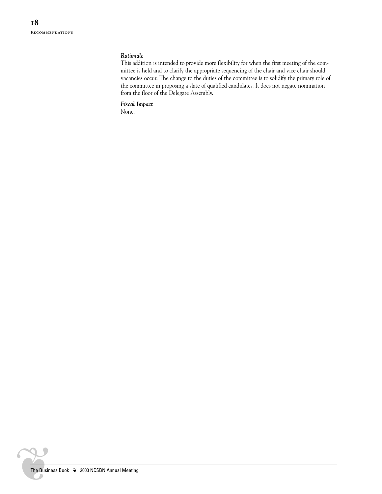### *Rationale*

This addition is intended to provide more flexibility for when the first meeting of the committee is held and to clarify the appropriate sequencing of the chair and vice chair should vacancies occur. The change to the duties of the committee is to solidify the primary role of the committee in proposing a slate of qualified candidates. It does not negate nomination from the floor of the Delegate Assembly.

*Fiscal Impact*

None.

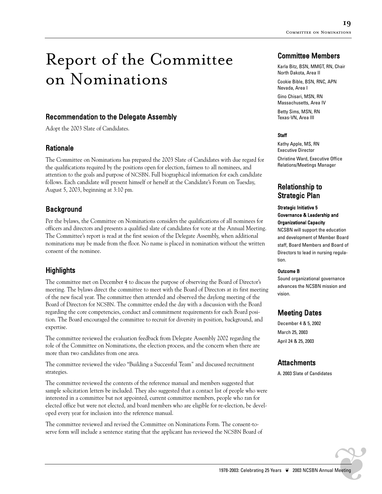## <span id="page-19-0"></span>Report of the Committee on Nominations

### Recommendation to the Delegate Assembly

Adopt the 2003 Slate of Candidates.

### Rationale

The Committee on Nominations has prepared the 2003 Slate of Candidates with due regard for the qualifications required by the positions open for election, fairness to all nominees, and attention to the goals and purpose of NCSBN. Full biographical information for each candidate follows. Each candidate will present himself or herself at the Candidate's Forum on Tuesday, August 5, 2003, beginning at 3:10 pm.

### **Background**

Per the bylaws, the Committee on Nominations considers the qualifications of all nominees for officers and directors and presents a qualified slate of candidates for vote at the Annual Meeting. The Committee's report is read at the first session of the Delegate Assembly, when additional nominations may be made from the floor. No name is placed in nomination without the written consent of the nominee.

### **Highlights**

The committee met on December 4 to discuss the purpose of observing the Board of Director's meeting. The bylaws direct the committee to meet with the Board of Directors at its first meeting of the new fiscal year. The committee then attended and observed the daylong meeting of the Board of Directors for NCSBN. The committee ended the day with a discussion with the Board regarding the core competencies, conduct and commitment requirements for each Board position. The Board encouraged the committee to recruit for diversity in position, background, and expertise.

The committee reviewed the evaluation feedback from Delegate Assembly 2002 regarding the role of the Committee on Nominations, the election process, and the concern when there are more than two candidates from one area.

The committee reviewed the video "Building a Successful Team*"* and discussed recruitment strategies.

The committee reviewed the contents of the reference manual and members suggested that sample solicitation letters be included. They also suggested that a contact list of people who were interested in a committee but not appointed, current committee members, people who ran for elected office but were not elected, and board members who are eligible for re-election, be developed every year for inclusion into the reference manual.

The committee reviewed and revised the Committee on Nominations Form. The consent-toserve form will include a sentence stating that the applicant has reviewed the NCSBN Board of

### Committee Members

Karla Bitz, BSN, MMGT, RN, Chair North Dakota, Area II Cookie Bible, BSN, RNC, APN Nevada, Area I

Gino Chisari, MSN, RN Massachusetts, Area IV

Betty Sims, MSN, RN Texas-VN, Area III

#### Staff

Kathy Apple, MS, RN Executive Director

Christine Ward, Executive Office Relations/Meetings Manager

### Relationship to Strategic Plan

### Strategic Initiative 5 Governance & Leadership and Organizational Capacity

NCSBN will support the education and development of Member Board staff, Board Members and Board of Directors to lead in nursing regulation.

#### Outcome B

Sound organizational governance advances the NCSBN mission and vision.

### Meeting Dates

December 4 & 5, 2002 March 25, 2003 April 24 & 25, 2003

### **Attachments**

A. 2003 Slate of Candidates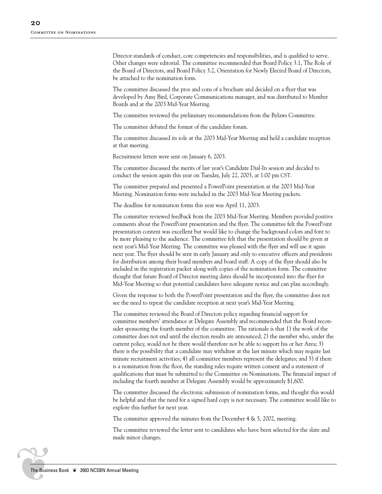Director standards of conduct, core competencies and responsibilities, and is qualified to serve. Other changes were editorial. The committee recommended that Board Policy 3.1, The Role of the Board of Directors, and Board Policy 3.2, Orientation for Newly Elected Board of Directors, be attached to the nomination form.

The committee discussed the pros and cons of a brochure and decided on a flyer that was developed by Amy Bird, Corporate Communications manager, and was distributed to Member Boards and at the 2003 Mid-Year Meeting.

The committee reviewed the preliminary recommendations from the Bylaws Committee.

The committee debated the format of the candidate forum.

The committee discussed its role at the 2003 Mid-Year Meeting and held a candidate reception at that meeting.

Recruitment letters were sent on January 6, 2003.

The committee discussed the merits of last year's Candidate Dial-In session and decided to conduct the session again this year on Tuesday, July 22, 2003, at 1:00 pm CST.

The committee prepared and presented a PowerPoint presentation at the 2003 Mid-Year Meeting. Nomination forms were included in the 2003 Mid-Year Meeting packets.

The deadline for nomination forms this year was April 11, 2003.

The committee reviewed feedback from the 2003 Mid-Year Meeting. Members provided positive comments about the PowerPoint presentation and the flyer. The committee felt the PowerPoint presentation content was excellent but would like to change the background colors and font to be more pleasing to the audience. The committee felt that the presentation should be given at next year's Mid-Year Meeting. The committee was pleased with the flyer and will use it again next year. The flyer should be sent in early January and only to executive officers and presidents for distribution among their board members and board staff. A copy of the flyer should also be included in the registration packet along with copies of the nomination form. The committee thought that future Board of Director meeting dates should be incorporated into the flyer for Mid-Year Meeting so that potential candidates have adequate notice and can plan accordingly.

Given the response to both the PowerPoint presentation and the flyer, the committee does not see the need to repeat the candidate reception at next year's Mid-Year Meeting.

The committee reviewed the Board of Directors policy regarding financial support for committee members' attendance at Delegate Assembly and recommended that the Board reconsider sponsoring the fourth member of the committee. The rationale is that 1) the work of the committee does not end until the election results are announced; 2) the member who, under the current policy, would not be there would therefore not be able to support his or her Area; 3) there is the possibility that a candidate may withdraw at the last minute which may require last minute recruitment activities; 4) all committee members represent the delegates; and 5) if there is a nomination from the floor, the standing rules require written consent and a statement of qualifications that must be submitted to the Committee on Nominations. The financial impact of including the fourth member at Delegate Assembly would be approximately \$1,600.

The committee discussed the electronic submission of nomination forms, and thought this would be helpful and that the need for a signed hard copy is not necessary. The committee would like to explore this further for next year.

The committee approved the minutes from the December  $4 \& 5$ , 2002, meeting.

The committee reviewed the letter sent to candidates who have been selected for the slate and made minor changes.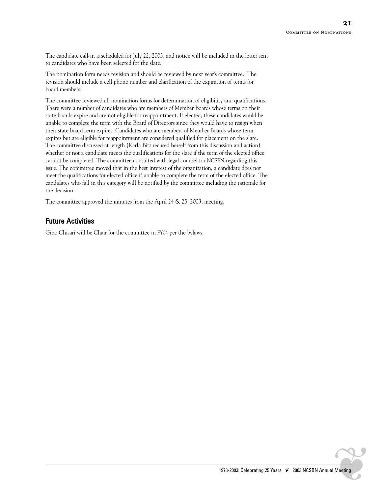The candidate call-in is scheduled for July 22, 2003, and notice will be included in the letter sent to candidates who have been selected for the slate.

The nomination form needs revision and should be reviewed by next year's committee. The revision should include a cell phone number and clarification of the expiration of terms for board members.

The committee reviewed all nomination forms for determination of eligibility and qualifications. There were a number of candidates who are members of Member Boards whose terms on their state boards expire and are not eligible for reappointment. If elected, these candidates would be unable to complete the term with the Board of Directors since they would have to resign when their state board term expires. Candidates who are members of Member Boards whose term expires but are eligible for reappointment are considered qualified for placement on the slate. The committee discussed at length (Karla Bitz recused herself from this discussion and action) whether or not a candidate meets the qualifications for the slate if the term of the elected office cannot be completed. The committee consulted with legal counsel for NCSBN regarding this issue. The committee moved that in the best interest of the organization, a candidate does not meet the qualifications for elected office if unable to complete the term of the elected office. The candidates who fall in this category will be notified by the committee including the rationale for the decision.

The committee approved the minutes from the April 24 & 25, 2003, meeting.

### Future Activities

Gino Chisari will be Chair for the committee in FY04 per the bylaws.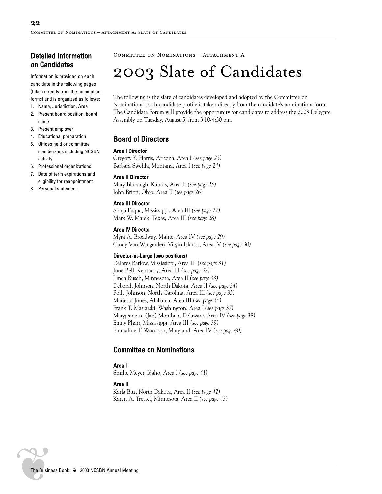### <span id="page-22-0"></span>Detailed Information on Candidates

Information is provided on each candidate in the following pages (taken directly from the nomination forms) and is organized as follows:

- 1. Name, Jurisdiction, Area
- 2. Present board position, board name
- 3. Present employer
- 4. Educational preparation
- 5. Offices held or committee membership, including NCSBN activity
- 6. Professional organizations
- 7. Date of term expirations and eligibility for reappointment
- 8. Personal statement

### Committee on Nominations – Attachment A

## 2003 Slate of Candidates

The following is the slate of candidates developed and adopted by the Committee on Nominations. Each candidate profile is taken directly from the candidate's nominations form. The Candidate Forum will provide the opportunity for candidates to address the 2003 Delegate Assembly on Tuesday, August 5, from 3:10-4:30 pm.

### Board of Directors

### Area I Director

Gregory Y. Harris, Arizona, Area I *(see page 23)* Barbara Swehla, Montana, Area I *(see page 24)*

### Area II Director

Mary Blubaugh, Kansas, Area II *(see page 25)* John Brion, Ohio, Area II *(see page 26)*

### Area III Director

Sonja Fuqua, Mississippi, Area III *(see page 27)* Mark W. Majek, Texas, Area III *(see page 28)*

### Area IV Director

Myra A. Broadway, Maine, Area IV *(see page 29)* Cindy Van Wingerden, Virgin Islands, Area IV *(see page 30)*

#### Director-at-Large (two positions)

Delores Barlow, Mississippi, Area III *(see page 31)* June Bell, Kentucky, Area III *(see page 32)* Linda Busch, Minnesota, Area II *(see page 33)* Deborah Johnson, North Dakota, Area II *(see page 34)* Polly Johnson, North Carolina, Area III *(see page 35)* Marjesta Jones, Alabama, Area III *(see page 36)* Frank T. Maziarski, Washington, Area I *(see page 37)* Maryjeanette (Jan) Monihan, Delaware, Area IV *(see page 38)* Emily Pharr, Mississippi, Area III *(see page 39)* Emmaline T. Woodson, Maryland, Area IV *(see page 40)*

### Committee on Nominations

#### Area I

Shirlie Meyer, Idaho, Area I *(see page 41)*

### Area II

Karla Bitz, North Dakota, Area II *(see page 42)* Karen A. Trettel, Minnesota, Area II *(see page 43)*

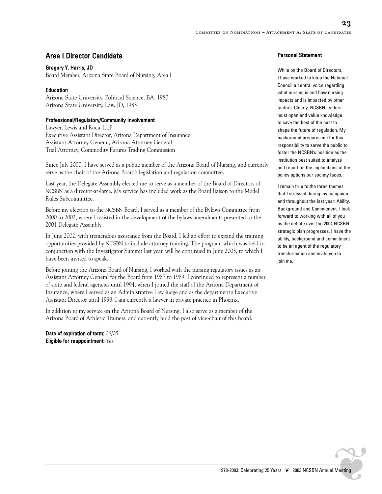### Area I Director Candidate

### Gregory Y. Harris, JD

Board Member, Arizona State Board of Nursing, Area I

### Education

Arizona State University, Political Science, BA, 1980 Arizona State University, Law, JD, 1983

### Professional/Regulatory/Community Involvement

Lawyer, Lewis and Roca, LLP Executive Assistant Director, Arizona Department of Insurance Assistant Attorney General, Arizona Attorney General Trial Attorney, Commodity Futures Trading Commission

Since July 2000, I have served as a public member of the Arizona Board of Nursing, and currently serve as the chair of the Arizona Board's legislation and regulation committee.

Last year, the Delegate Assembly elected me to serve as a member of the Board of Directors of NCSBN as a director-at-large. My service has included work as the Board liaison to the Model Rules Subcommittee.

Before my election to the NCSBN Board, I served as a member of the Bylaws Committee from 2000 to 2002, where I assisted in the development of the bylaws amendments presented to the 2001 Delegate Assembly.

In June 2002, with tremendous assistance from the Board, I led an effort to expand the training opportunities provided by NCSBN to include attorney training. The program, which was held in conjunction with the Investigator Summit last year, will be continued in June 2003, to which I have been invited to speak.

Before joining the Arizona Board of Nursing, I worked with the nursing regulatory issues as an Assistant Attorney General for the Board from 1987 to 1989. I continued to represent a number of state and federal agencies until 1994, when I joined the staff of the Arizona Department of Insurance, where I served as an Administrative Law Judge and as the department's Executive Assistant Director until 1998. I am currently a lawyer in private practice in Phoenix.

In addition to my service on the Arizona Board of Nursing, I also serve as a member of the Arizona Board of Athletic Trainers, and currently hold the post of vice-chair of this board.

Date of expiration of term: 06/05 Eligible for reappointment: Yes

### Personal Statement

While on the Board of Directors, I have worked to keep the National Council a central voice regarding what nursing is and how nursing impacts and is impacted by other factors. Clearly, NCSBN leaders must open and value knowledge to save the best of the past to shape the future of regulation. My background prepares me for this responsibility to serve the public to foster the NCSBN's position as the institution best suited to analyze and report on the implications of the policy options our society faces.

I remain true to the three themes that I stressed during my campaign and throughout the last year: Ability, Background and Commitment. I look forward to working with all of you as the debate over the 2004 NCSBN strategic plan progresses. I have the ability, background and commitment to be an agent of the regulatory transformation and invite you to join me.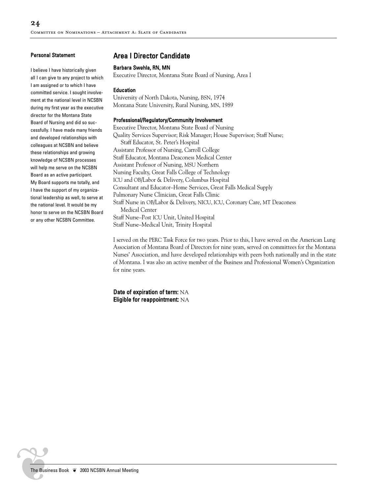### Personal Statement

I believe I have historically given all I can give to any project to which I am assigned or to which I have committed service. I sought involvement at the national level in NCSBN during my first year as the executive director for the Montana State Board of Nursing and did so successfully. I have made many friends and developed relationships with colleagues at NCSBN and believe these relationships and growing knowledge of NCSBN processes will help me serve on the NCSBN Board as an active participant. My Board supports me totally, and I have the support of my organizational leadership as well, to serve at the national level. It would be my honor to serve on the NCSBN Board or any other NCSBN Committee.

### Area I Director Candidate

### Barbara Swehla, RN, MN

Executive Director, Montana State Board of Nursing, Area I

### Education

University of North Dakota, Nursing, BSN, 1974 Montana State University, Rural Nursing, MN, 1989

#### Professional/Regulatory/Community Involvement

Executive Director, Montana State Board of Nursing Quality Services Supervisor; Risk Manager; House Supervisor; Staff Nurse; Staff Educator, St. Peter's Hospital Assistant Professor of Nursing, Carroll College Staff Educator, Montana Deaconess Medical Center Assistant Professor of Nursing, MSU Northern Nursing Faculty, Great Falls College of Technology ICU and OB/Labor & Delivery, Columbus Hospital Consultant and Educator–Home Services, Great Falls Medical Supply Pulmonary Nurse Clinician, Great Falls Clinic Staff Nurse in OB/Labor & Delivery, NICU, ICU, Coronary Care, MT Deaconess Medical Center Staff Nurse–Post ICU Unit, United Hospital Staff Nurse–Medical Unit, Trinity Hospital

I served on the PERC Task Force for two years. Prior to this, I have served on the American Lung Association of Montana Board of Directors for nine years, served on committees for the Montana Nurses' Association, and have developed relationships with peers both nationally and in the state of Montana. I was also an active member of the Business and Professional Women's Organization for nine years.

Date of expiration of term: NA Eligible for reappointment: NA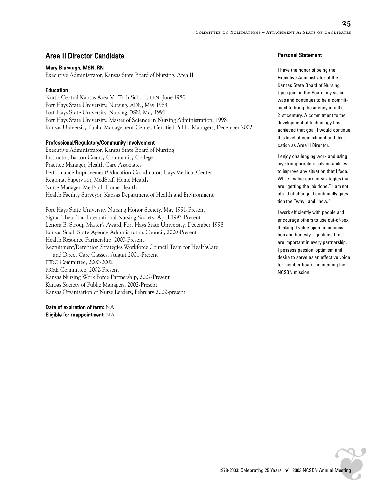### Area II Director Candidate

### Mary Blubaugh, MSN, RN

Executive Administrator, Kansas State Board of Nursing, Area II

### Education

North Central Kansas Area Vo-Tech School, LPN, June 1980 Fort Hays State University, Nursing, ADN, May 1983 Fort Hays State University, Nursing, BSN, May 1991 Fort Hays State University, Master of Science in Nursing Administration, 1998 Kansas University Public Management Center, Certified Public Managers, December 2002

### Professional/Regulatory/Community Involvement

Executive Administrator, Kansas State Board of Nursing Instructor, Barton County Community College Practice Manager, Health Care Associates Performance Improvement/Education Coordinator, Hays Medical Center Regional Supervisor, MedStaff Home Health Nurse Manager, MedStaff Home Health Health Facility Surveyor, Kansas Department of Health and Environment

Fort Hays State University Nursing Honor Society, May 1991-Present Sigma Theta Tau International Nursing Society, April 1993-Present Lenora B. Stroup Master's Award, Fort Hays State University, December 1998 Kansas Small State Agency Administrators Council, 2000-Present Health Resource Partnership, 2000-Present Recruitment/Retention Strategies Workforce Council Team for HealthCare and Direct Care Classes, August 2001-Present PERC Committee, 2000-2002 PR&E Committee, 2002-Present Kansas Nursing Work Force Partnership, 2002-Present Kansas Society of Public Managers, 2002-Present Kansas Organization of Nurse Leaders, February 2002-present

Date of expiration of term: NA Eligible for reappointment: NA

### Personal Statement

I have the honor of being the Executive Administrator of the Kansas State Board of Nursing. Upon joining the Board, my vision was and continues to be a commitment to bring the agency into the 21st century. A commitment to the development of technology has achieved that goal. I would continue this level of commitment and dedication as Area II Director.

I enjoy challenging work and using my strong problem-solving abilities to improve any situation that I face. While I value current strategies that are "getting the job done," I am not afraid of change. I continually question the "why" and "how."

I work efficiently with people and encourage others to use out-of-box thinking. I value open communication and honesty – qualities I feel are important in every partnership. I possess passion, optimism and desire to serve as an effective voice for member boards in meeting the NCSBN mission.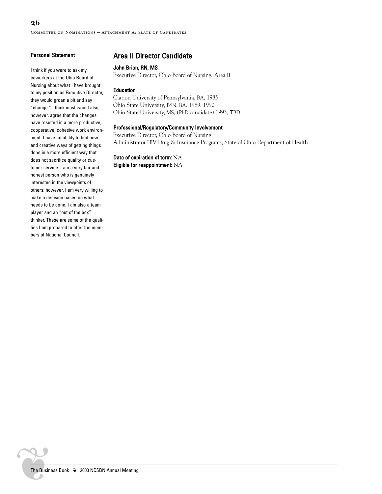### Personal Statement

I think if you were to ask my coworkers at the Ohio Board of Nursing about what I have brought to my position as Executive Director, they would groan a bit and say "change." I think most would also, however, agree that the changes have resulted in a more productive, cooperative, cohesive work environment. I have an ability to find new and creative ways of getting things done in a more efficient way that does not sacrifice quality or customer service. I am a very fair and honest person who is genuinely interested in the viewpoints of others; however, I am very willing to make a decision based on what needs to be done. I am also a team player and an "out of the box" thinker. These are some of the qualities I am prepared to offer the members of National Council.

### Area II Director Candidate

### John Brion, RN, MS

Executive Director, Ohio Board of Nursing, Area II

### Education

Clarion University of Pennsylvania, BA, 1985 Ohio State University, BSN, BA, 1989, 1990 Ohio State University, MS, (PhD candidate) 1993, TBD

### Professional/Regulatory/Community Involvement

Executive Director, Ohio Board of Nursing Administrator HIV Drug & Insurance Programs, State of Ohio Department of Health

### Date of expiration of term: NA Eligible for reappointment: NA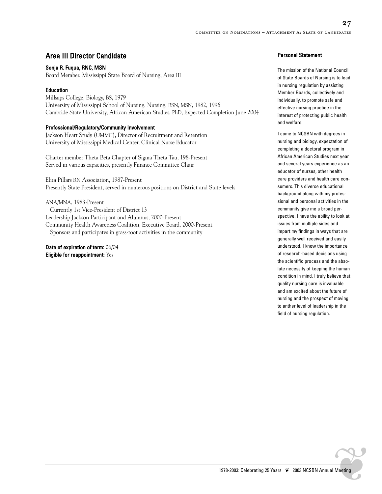### Area III Director Candidate

### Sonja R. Fuqua, RNC, MSN

Board Member, Mississippi State Board of Nursing, Area III

### Education

Millsaps College, Biology, BS, 1979 University of Mississippi School of Nursing, Nursing, BSN, MSN, 1982, 1996 Cambride State University, African American Studies, PhD, Expected Completion June 2004

### Professional/Regulatory/Community Involvement

Jackson Heart Study (UMMC), Director of Recruitment and Retention University of Mississippi Medical Center, Clinical Nurse Educator

Charter member Theta Beta Chapter of Sigma Theta Tau, 198-Present Served in various capacities, presently Finance Committee Chair

Eliza Pillars RN Association, 1987-Present Presently State President, served in numerous positions on District and State levels

ANA/MNA, 1983-Present Currently 1st Vice-President of District 13 Leadership Jackson Participant and Alumnus, 2000-Present Community Health Awareness Coalition, Executive Board, 2000-Present Sponsors and participates in grass-root activities in the community

Date of expiration of term: 06/04 Eligible for reappointment: Yes

### Personal Statement

The mission of the National Council of State Boards of Nursing is to lead in nursing regulation by assisting Member Boards, collectively and individually, to promote safe and effective nursing practice in the interest of protecting public health and welfare.

I come to NCSBN with degrees in nursing and biology, expectation of completing a doctoral program in African American Studies next year and several years experience as an educator of nurses, other health care providers and health care consumers. This diverse educational background along with my professional and personal activities in the community give me a broad perspective. I have the ability to look at issues from multiple sides and impart my findings in ways that are generally well received and easily understood. I know the importance of research-based decisions using the scientific process and the absolute necessity of keeping the human condition in mind. I truly believe that quality nursing care is invaluable and am excited about the future of nursing and the prospect of moving to anther level of leadership in the field of nursing regulation.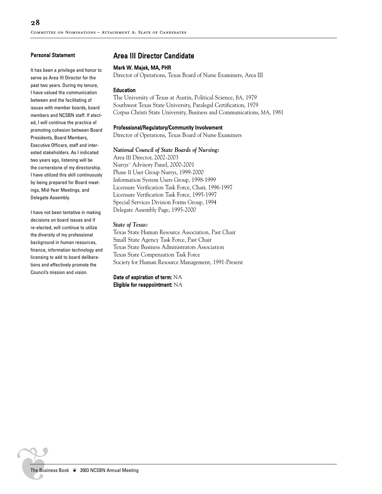### Personal Statement

It has been a privilege and honor to serve as Area III Director for the past two years. During my tenure, I have valued the communication between and the facilitating of issues with member boards, board members and NCSBN staff. If elected, I will continue the practice of promoting cohesion between Board Presidents, Board Members, Executive Officers, staff and interested stakeholders. As I indicated two years ago, listening will be the cornerstone of my directorship. I have utilized this skill continuously by being prepared for Board meetings, Mid-Year Meetings, and Delegate Assembly.

I have not been tentative in making decisions on board issues and if re-elected, will continue to utilize the diversity of my professional background in human resources, finance, information technology and licensing to add to board deliberations and effectively promote the Council's mission and vision.

### Area III Director Candidate

#### Mark W. Majek, MA, PHR

Director of Operations, Texas Board of Nurse Examiners, Area III

#### Education

The University of Texas at Austin, Political Science, BA, 1979 Southwest Texas State University, Paralegal Certification, 1979 Corpus Christi State University, Business and Communications, MA, 1981

### Professional/Regulatory/Community Involvement

Director of Operations, Texas Board of Nurse Examiners

### *National Council of State Boards of Nursing:*

Area III Director, 2002-2003 Nur*sys™* Advisory Panel, 2000-2001 Phase II User Group Nur*sys*, 1999-2000 Information System Users Group, 1998-1999 Licensure Verification Task Force, Chair, 1996-1997 Licensure Verification Task Force, 1995-1997 Special Services Division Forms Group, 1994 Delegate Assembly Page, 1995-2000

### *State of Texas:*

Texas State Human Resource Association, Past Chair Small State Agency Task Force, Past Chair Texas State Business Administrators Association Texas State Compensation Task Force Society for Human Resource Management, 1991-Present

Date of expiration of term: NA Eligible for reappointment: NA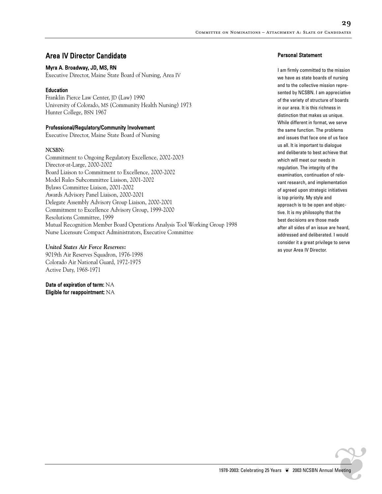### Area IV Director Candidate

### Myra A. Broadway, JD, MS, RN

Executive Director, Maine State Board of Nursing, Area IV

### Education

Franklin Pierce Law Center, JD (Law) 1990 University of Colorado, MS (Community Health Nursing) 1973 Hunter College, BSN 1967

### Professional/Regulatory/Community Involvement

Executive Director, Maine State Board of Nursing

### *NCSBN:*

Commitment to Ongoing Regulatory Excellence, 2002-2003 Director-at-Large, 2000-2002 Board Liaison to Commitment to Excellence, 2000-2002 Model Rules Subcommittee Liaison, 2001-2002 Bylaws Committee Liaison, 2001-2002 Awards Advisory Panel Liaison, 2000-2001 Delegate Assembly Advisory Group Liaison, 2000-2001 Commitment to Excellence Advisory Group, 1999-2000 Resolutions Committee, 1999 Mutual Recognition Member Board Operations Analysis Tool Working Group 1998 Nurse Licensure Compact Administrators, Executive Committee

### *United States Air Force Reserves:*

9019th Air Reserves Squadron, 1976-1998 Colorado Air National Guard, 1972-1975 Active Duty, 1968-1971

Date of expiration of term: NA Eligible for reappointment: NA

### Personal Statement

**29**

I am firmly committed to the mission we have as state boards of nursing and to the collective mission represented by NCSBN. I am appreciative of the variety of structure of boards in our area. It is this richness in distinction that makes us unique. While different in format, we serve the same function. The problems and issues that face one of us face us all. It is important to dialogue and deliberate to best achieve that which will meet our needs in regulation. The integrity of the examination, continuation of relevant research, and implementation of agreed upon strategic initiatives is top priority. My style and approach is to be open and objective. It is my philosophy that the best decisions are those made after all sides of an issue are heard, addressed and deliberated. I would consider it a great privilege to serve as your Area IV Director.

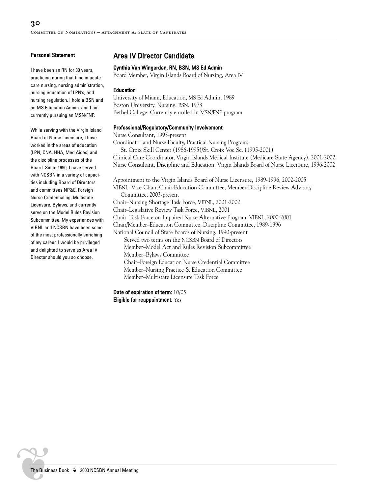### Personal Statement

I have been an RN for 30 years, practicing during that time in acute care nursing, nursing administration, nursing education of LPN's, and nursing regulation. I hold a BSN and an MS Education Admin. and I am currently pursuing an MSN/FNP.

While serving with the Virgin Island Board of Nurse Licensure, I have worked in the areas of education (LPN, CNA, HHA, Med Aides) and the discipline processes of the Board. Since 1990, I have served with NCSBN in a variety of capacities including Board of Directors and committees NP&E, Foreign Nurse Credentialing, Multistate Licensure, Bylaws, and currently serve on the Model Rules Revision Subcommittee. My experiences with VIBNL and NCSBN have been some of the most professionally enriching of my career. I would be privileged and delighted to serve as Area IV Director should you so choose.

### Area IV Director Candidate

### Cynthia Van Wingerden, RN, BSN, MS Ed Admin

Board Member, Virgin Islands Board of Nursing, Area IV

#### Education

University of Miami, Education, MS Ed Admin, 1989 Boston University, Nursing, BSN, 1973 Bethel College: Currently enrolled in MSN/FNP program

### Professional/Regulatory/Community Involvement

Nurse Consultant, 1995-present

Coordinator and Nurse Faculty, Practical Nursing Program, St. Croix Skill Center (1986-1995)/St. Croix Voc Sc. (1995-2001) Clinical Care Coordinator, Virgin Islands Medical Institute (Medicare State Agency), 2001-2002 Nurse Consultant, Discipline and Education, Virgin Islands Board of Nurse Licensure, 1996-2002

Appointment to the Virgin Islands Board of Nurse Licensure, 1989-1996, 2002-2005 VIBNL: Vice-Chair, Chair-Education Committee, Member-Discipline Review Advisory Committee, 2003-present Chair–Nursing Shortage Task Force, VIBNL, 2001-2002 Chair–Legislative Review Task Force, VIBNL, 2001 Chair–Task Force on Impaired Nurse Alternative Program, VIBNL, 2000-2001 Chair/Member–Education Committee, Discipline Committee, 1989-1996 National Council of State Boards of Nursing, 1990-present Served two terms on the NCSBN Board of Directors Member–Model Act and Rules Revision Subcommittee Member–Bylaws Committee Chair–Foreign Education Nurse Credential Committee Member–Nursing Practice & Education Committee Member–Multistate Licensure Task Force

Date of expiration of term:  $10/05$ Eligible for reappointment: Yes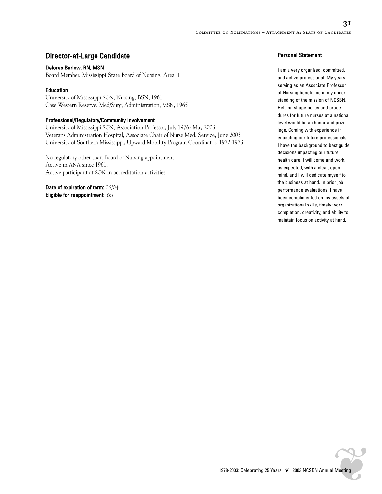### Director-at-Large Candidate

### Delores Barlow, RN, MSN

Board Member, Mississippi State Board of Nursing, Area III

### Education

University of Mississippi SON, Nursing, BSN, 1961 Case Western Reserve, Med/Surg, Administration, MSN, 1965

### Professional/Regulatory/Community Involvement

University of Mississippi SON, Association Professor, July 1976- May 2003 Veterans Administration Hospital, Associate Chair of Nurse Med. Service, June 2003 University of Southern Mississippi, Upward Mobility Program Coordinator, 1972-1973

No regulatory other than Board of Nursing appointment. Active in ANA since 1961. Active participant at SON in accreditation activities.

Date of expiration of term: 06/04 Eligible for reappointment: Yes

### Personal Statement

I am a very organized, committed, and active professional. My years serving as an Associate Professor of Nursing benefit me in my understanding of the mission of NCSBN. Helping shape policy and procedures for future nurses at a national level would be an honor and privilege. Coming with experience in educating our future professionals, I have the background to best guide decisions impacting our future health care. I will come and work, as expected, with a clear, open mind, and I will dedicate myself to the business at hand. In prior job performance evaluations, I have been complimented on my assets of organizational skills, timely work completion, creativity, and ability to maintain focus on activity at hand.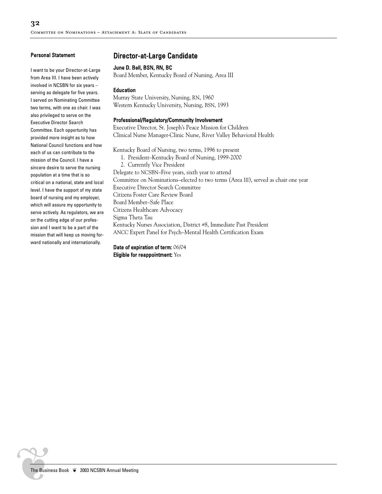### Personal Statement

I want to be your Director-at-Large from Area III. I have been actively involved in NCSBN for six years – serving as delegate for five years. I served on Nominating Committee two terms, with one as chair. I was also privileged to serve on the Executive Director Search Committee. Each opportunity has provided more insight as to how National Council functions and how each of us can contribute to the mission of the Council. I have a sincere desire to serve the nursing population at a time that is so critical on a national, state and local level. I have the support of my state board of nursing and my employer, which will assure my opportunity to serve actively. As regulators, we are on the cutting edge of our profession and I want to be a part of the mission that will keep us moving forward nationally and internationally.

### Director-at-Large Candidate

### June D. Bell, BSN, RN, BC

Board Member, Kentucky Board of Nursing, Area III

#### Education

Murray State University, Nursing, RN, 1960 Western Kentucky University, Nursing, BSN, 1993

### Professional/Regulatory/Community Involvement

Executive Director, St. Joseph's Peace Mission for Children Clinical Nurse Manager-Clinic Nurse, River Valley Behavioral Health

Kentucky Board of Nursing, two terms, 1996 to present

- 1. President–Kentucky Board of Nursing, 1999-2000
- 2. Currently Vice President

Delegate to NCSBN–Five years, sixth year to attend Committee on Nominations–elected to two terms (Area III), served as chair one year Executive Director Search Committee Citizens Foster Care Review Board Board Member–Safe Place Citizens Healthcare Advocacy Sigma Theta Tau Kentucky Nurses Association, District #8, Immediate Past President ANCC Expert Panel for Psych–Mental Health Certification Exam

Date of expiration of term: 06/04 Eligible for reappointment: Yes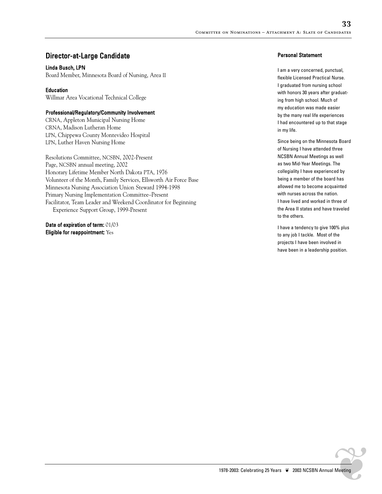### Director-at-Large Candidate

Linda Busch, LPN

Board Member, Minnesota Board of Nursing, Area II

Education

Willmar Area Vocational Technical College

### Professional/Regulatory/Community Involvement

CRNA, Appleton Municipal Nursing Home CRNA, Madison Lutheran Home LPN, Chippewa County Montevideo Hospital LPN, Luther Haven Nursing Home

Resolutions Committee, NCSBN, 2002-Present Page, NCSBN annual meeting, 2002 Honorary Lifetime Member North Dakota PTA, 1976 Volunteer of the Month, Family Services, Ellsworth Air Force Base Minnesota Nursing Association Union Steward 1994-1998 Primary Nursing Implementation Committee–Present Facilitator, Team Leader and Weekend Coordinator for Beginning Experience Support Group, 1999-Present

Date of expiration of term: 01/03 Eligible for reappointment: Yes

### Personal Statement

I am a very concerned, punctual, flexible Licensed Practical Nurse. I graduated from nursing school with honors 30 years after graduating from high school. Much of my education was made easier by the many real life experiences I had encountered up to that stage in my life.

Since being on the Minnesota Board of Nursing I have attended three NCSBN Annual Meetings as well as two Mid-Year Meetings. The collegiality I have experienced by being a member of the board has allowed me to become acquainted with nurses across the nation. I have lived and worked in three of the Area II states and have traveled to the others.

I have a tendency to give 100% plus to any job I tackle. Most of the projects I have been involved in have been in a leadership position.

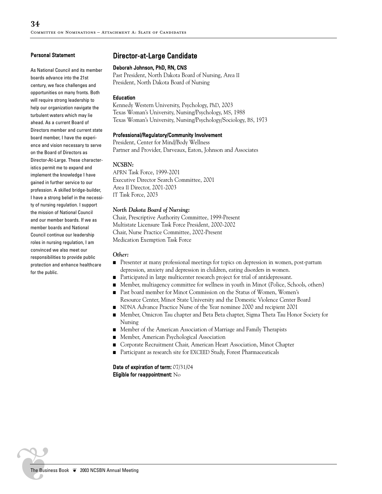### Personal Statement

As National Council and its member boards advance into the 21st century, we face challenges and opportunities on many fronts. Both will require strong leadership to help our organization navigate the turbulent waters which may lie ahead. As a current Board of Directors member and current state board member, I have the experience and vision necessary to serve on the Board of Directors as Director-At-Large. These characteristics permit me to expand and implement the knowledge I have gained in further service to our profession. A skilled bridge-builder, I have a strong belief in the necessity of nursing regulation. I support the mission of National Council and our member boards. If we as member boards and National Council continue our leadership roles in nursing regulation, I am convinced we also meet our responsibilities to provide public protection and enhance healthcare for the public.

### Director-at-Large Candidate

### Deborah Johnson, PhD, RN, CNS

Past President, North Dakota Board of Nursing, Area II President, North Dakota Board of Nursing

### Education

Kennedy Western University, Psychology, PhD, 2003 Texas Woman's University, Nursing/Psychology, MS, 1988 Texas Woman's University, Nursing/Psychology/Sociology, BS, 1973

### Professional/Regulatory/Community Involvement

President, Center for Mind/Body Wellness Partner and Provider, Darveaux, Eaton, Johnson and Associates

### *NCSBN:*

APRN Task Force, 1999-2001 Executive Director Search Committee, 2001 Area II Director, 2001-2003 IT Task Force, 2003

### *North Dakota Board of Nursing:*

Chair, Prescriptive Authority Committee, 1999-Present Multistate Licensure Task Force President, 2000-2002 Chair, Nurse Practice Committee, 2002-Present Medication Exemption Task Force

#### *Other:*

- Presenter at many professional meetings for topics on depression in women, post-partum depression, anxiety and depression in children, eating disorders in women.
- Participated in large multicenter research project for trial of antidepressant.
- Member, multiagency committee for wellness in youth in Minot (Police, Schools, others)
- Past board member for Minot Commission on the Status of Women, Women's Resource Center, Minot State University and the Domestic Violence Center Board
- NDNA Advance Practice Nurse of the Year nominee 2000 and recipient 2001
- Member, Omicron Tau chapter and Beta Beta chapter, Sigma Theta Tau Honor Society for Nursing
- Member of the American Association of Marriage and Family Therapists
- Member, American Psychological Association
- Corporate Recruitment Chair, American Heart Association, Minot Chapter
- Participant as research site for EXCEED Study, Forest Pharmaceuticals

Date of expiration of term: 07/31/04 Eligible for reappointment: No

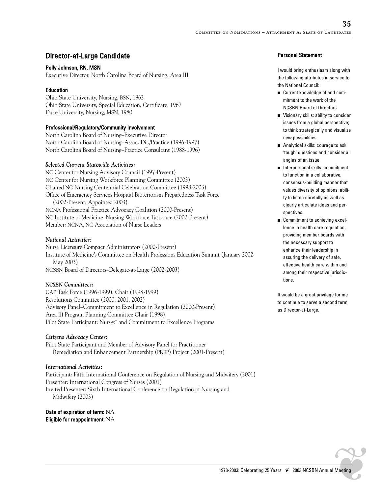### Director-at-Large Candidate

### Polly Johnson, RN, MSN

Executive Director, North Carolina Board of Nursing, Area III

### Education

Ohio State University, Nursing, BSN, 1962 Ohio State University, Special Education, Certificate, 1967 Duke University, Nursing, MSN, 1980

### Professional/Regulatory/Community Involvement

North Carolina Board of Nursing–Executive Director North Carolina Board of Nursing–Assoc. Dir./Practice (1996-1997) North Carolina Board of Nursing–Practice Consultant (1988-1996)

### *Selected Current Statewide Activities:*

NC Center for Nursing Advisory Council (1997-Present) NC Center for Nursing Workforce Planning Committee (2003) Chaired NC Nursing Centennial Celebration Committee (1998-2003) Office of Emergency Services Hospital Bioterrorism Preparedness Task Force (2002-Present; Appointed 2003) NCNA Professional Practice Advocacy Coalition (2000-Present) NC Institute of Medicine–Nursing Workforce Taskforce (2002-Present) Member: NCNA, NC Association of Nurse Leaders

### *National Activities:*

Nurse Licensure Compact Administrators (2000-Present) Institute of Medicine's Committee on Health Professions Education Summit (January 2002- May 2003) NCSBN Board of Directors–Delegate-at-Large (2002-2003)

### *NCSBN Committees:*

UAP Task Force (1996-1999), Chair (1998-1999) Resolutions Committee (2000, 2001, 2002) Advisory Panel–Commitment to Excellence in Regulation (2000-Present) Area III Program Planning Committee Chair (1998) Pilot State Participant: Nur*sys*™ and Commitment to Excellence Programs

### *Citizens Advocacy Center:*

Pilot State Participant and Member of Advisory Panel for Practitioner Remediation and Enhancement Partnership (PREP) Project (2001-Present)

### *International Activities:*

Participant: Fifth International Conference on Regulation of Nursing and Midwifery (2001) Presenter: International Congress of Nurses (2001) Invited Presenter: Sixth International Conference on Regulation of Nursing and Midwifery (2003)

Date of expiration of term: NA Eligible for reappointment:  $NA$ 

#### Personal Statement

I would bring enthusiasm along with the following attributes in service to the National Council:

- Current knowledge of and commitment to the work of the NCSBN Board of Directors
- Visionary skills: ability to consider issues from a global perspective; to think strategically and visualize new possibilities
- Analytical skills: courage to ask 'tough' questions and consider all angles of an issue
- Interpersonal skills: commitment to function in a collaborative, consensus-building manner that values diversity of opinions; ability to listen carefully as well as clearly articulate ideas and perspectives.
- Commitment to achieving excellence in health care regulation; providing member boards with the necessary support to enhance their leadership in assuring the delivery of safe, effective health care within and among their respective jurisdictions.

It would be a great privilege for me to continue to serve a second term as Director-at-Large.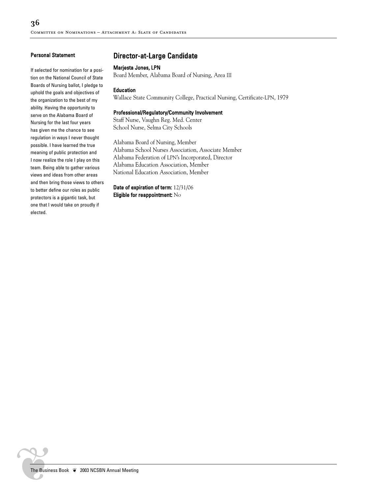#### Personal Statement

If selected for nomination for a position on the National Council of State Boards of Nursing ballot, I pledge to uphold the goals and objectives of the organization to the best of my ability. Having the opportunity to serve on the Alabama Board of Nursing for the last four years has given me the chance to see regulation in ways I never thought possible. I have learned the true meaning of public protection and I now realize the role I play on this team. Being able to gather various views and ideas from other areas and then bring those views to others to better define our roles as public protectors is a gigantic task, but one that I would take on proudly if elected.

# Director-at-Large Candidate

#### Marjesta Jones, LPN

Board Member, Alabama Board of Nursing, Area III

#### Education

Wallace State Community College, Practical Nursing, Certificate-LPN, 1979

#### Professional/Regulatory/Community Involvement

Staff Nurse, Vaughn Reg. Med. Center School Nurse, Selma City Schools

Alabama Board of Nursing, Member Alabama School Nurses Association, Associate Member Alabama Federation of LPN's Incorporated, Director Alabama Education Association, Member National Education Association, Member

#### Date of expiration of term: 12/31/06 Eligible for reappointment: No

The Busin The Business Book ❦ 2003 NCSBN Annual Meeting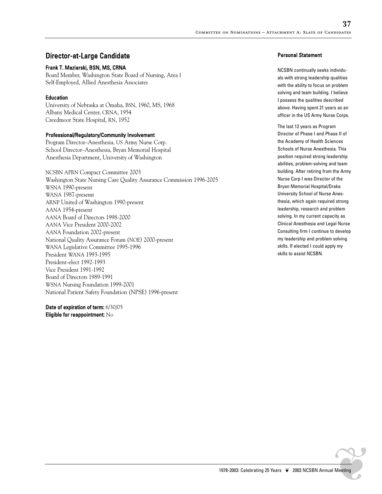# Director-at-Large Candidate

#### Frank T. Maziarski, BSN, MS, CRNA

Board Member, Washington State Board of Nursing, Area I Self-Employed, Allied Anesthesia Associates

#### Education

University of Nebraska at Omaha, BSN, 1960, MS, 1968 Albany Medical Center, CRNA, 1954 Creedmoor State Hospital, RN, 1952

#### Professional/Regulatory/Community Involvement

Program Director–Anesthesia, US Army Nurse Corp. School Director–Anesthesia, Bryan Memorial Hospital Anesthesia Department, University of Washington

NCSBN APRN Compact Committee 2003 Washington State Nursing Care Quality Assurance Commission 1996-2005 WSNA 1990-present WANA 1987-presemt ARNP United of Washington 1990-present AANA 1954-present AANA Board of Directors 1998-2000 AANA Vice President 2000-2002 AANA Foundation 2002-present National Quality Assurance Forum (NOE) 2000-present WANA Legislative Committee 1995-1996 President WANA 1993-1995 President-elect 1992-1993 Vice President 1991-1992 Board of Directors 1989-1991 WSNA Nursing Foundation 1999-2001 National Patient Safety Foundation (NPSE) 1996-present

Date of expiration of term: 6/30/05 Eligible for reappointment:  $No$ 

#### Personal Statement

NCSBN continually seeks individuals with strong leadership qualities with the ability to focus on problem solving and team building. I believe I possess the qualities described above. Having spent 21 years as an officer in the US Army Nurse Corps.

The last 12 years as Program Director of Phase I and Phase II of the Academy of Health Sciences Schools of Nurse Anesthesia. This position required strong leadership abilities, problem-solving and team building. After retiring from the Army Nurse Corp I was Director of the Bryan Memorial Hospital/Drake University School of Nurse Anesthesia, which again required strong leadership, research and problem solving. In my current capacity as Clinical Anesthesia and Legal Nurse Consulting firm I continue to develop my leadership and problem solving skills. If elected I could apply my skills to assist NCSBN.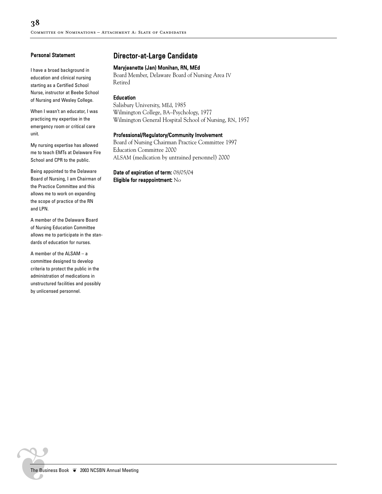#### Personal Statement

I have a broad background in education and clinical nursing starting as a Certified School Nurse, instructor at Beebe School of Nursing and Wesley College.

When I wasn't an educator, I was practicing my expertise in the emergency room or critical care unit.

My nursing expertise has allowed me to teach EMTs at Delaware Fire School and CPR to the public.

Being appointed to the Delaware Board of Nursing, I am Chairman of the Practice Committee and this allows me to work on expanding the scope of practice of the RN and LPN.

A member of the Delaware Board of Nursing Education Committee allows me to participate in the standards of education for nurses.

A member of the ALSAM – a committee designed to develop criteria to protect the public in the administration of medications in unstructured facilities and possibly by unlicensed personnel.

# Director-at-Large Candidate

#### Maryjeanette (Jan) Monihan, RN, MEd

Board Member, Delaware Board of Nursing Area IV Retired

#### Education

Salisbury University, MEd, 1985 Wilmington College, BA–Psychology, 1977 Wilmington General Hospital School of Nursing, RN, 1957

#### Professional/Regulatory/Community Involvement

Board of Nursing Chairman Practice Committee 1997 Education Committee 2000 ALSAM (medication by untrained personnel) 2000

#### Date of expiration of term: 08/05/04 Eligible for reappointment: No

The Busin The Business Book ❦ 2003 NCSBN Annual Meeting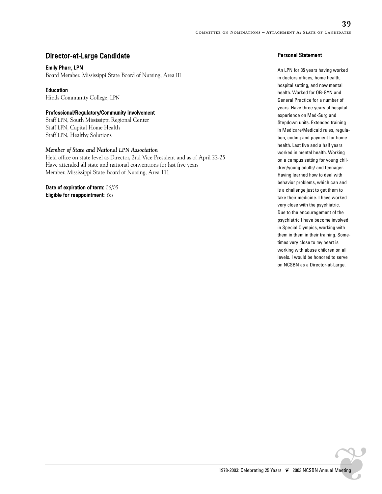# Director-at-Large Candidate

#### Emily Pharr, LPN

Board Member, Mississippi State Board of Nursing, Area III

#### Education

Hinds Community College, LPN

#### Professional/Regulatory/Community Involvement

Staff LPN, South Mississippi Regional Center Staff LPN, Capital Home Health Staff LPN, Healthy Solutions

#### *Member of State and National LPN Association*

Held office on state level as Director, 2nd Vice President and as of April 22-25 Have attended all state and national conventions for last five years Member, Mississippi State Board of Nursing, Area 111

Date of expiration of term: 06/05 Eligible for reappointment: Yes

#### Personal Statement

An LPN for 35 years having worked in doctors offices, home health, hospital setting, and now mental health. Worked for OB-GYN and General Practice for a number of years. Have three years of hospital experience on Med-Surg and Stepdown units. Extended training in Medicare/Medicaid rules, regulation, coding and payment for home health. Last five and a half years worked in mental health. Working on a campus setting for young children/young adults/ and teenager. Having learned how to deal with behavior problems, which can and is a challenge just to get them to take their medicine. I have worked very close with the psychiatric. Due to the encouragement of the psychiatric I have become involved in Special Olympics, working with them in them in their training. Sometimes very close to my heart is working with abuse children on all levels. I would be honored to serve on NCSBN as a Director-at-Large.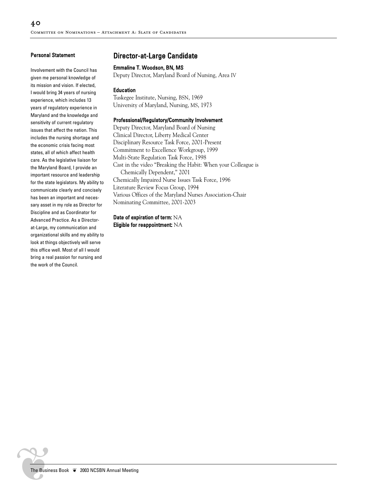#### Personal Statement

Involvement with the Council has given me personal knowledge of its mission and vision. If elected, I would bring 34 years of nursing experience, which includes 13 years of regulatory experience in Maryland and the knowledge and sensitivity of current regulatory issues that affect the nation. This includes the nursing shortage and the economic crisis facing most states, all of which affect health care. As the legislative liaison for the Maryland Board, I provide an important resource and leadership for the state legislators. My ability to communicate clearly and concisely has been an important and necessary asset in my role as Director for Discipline and as Coordinator for Advanced Practice. As a Directorat-Large, my communication and organizational skills and my ability to look at things objectively will serve this office well. Most of all I would bring a real passion for nursing and the work of the Council.

# Director-at-Large Candidate

#### Emmaline T. Woodson, BN, MS

Deputy Director, Maryland Board of Nursing, Area IV

#### Education

Tuskegee Institute, Nursing, BSN, 1969 University of Maryland, Nursing, MS, 1973

#### Professional/Regulatory/Community Involvement

Deputy Director, Maryland Board of Nursing Clinical Director, Liberty Medical Center Disciplinary Resource Task Force, 2001-Present Commitment to Excellence Workgroup, 1999 Multi-State Regulation Task Force, 1998 Cast in the video "Breaking the Habit: When your Colleague is Chemically Dependent," 2001 Chemically Impaired Nurse Issues Task Force, 1996 Literature Review Focus Group, 1994 Various Offices of the Maryland Nurses Association-Chair Nominating Committee, 2001-2003

Date of expiration of term: NA Eligible for reappointment: NA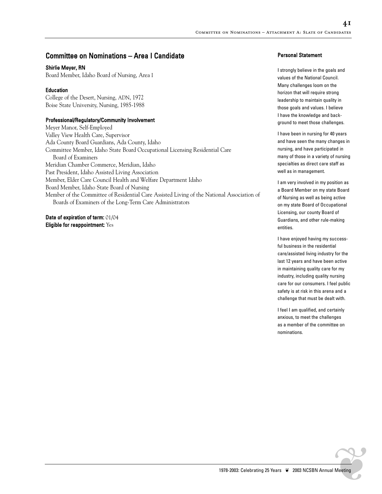# Committee on Nominations – Area I Candidate

#### Shirlie Meyer, RN

Board Member, Idaho Board of Nursing, Area I

#### Education

College of the Desert, Nursing, ADN, 1972 Boise State University, Nursing, 1985-1988

#### Professional/Regulatory/Community Involvement

Meyer Manor, Self-Employed Valley View Health Care, Supervisor Ada County Board Guardians, Ada County, Idaho Committee Member, Idaho State Board Occupational Licensing Residential Care Board of Examiners Meridian Chamber Commerce, Meridian, Idaho Past President, Idaho Assisted Living Association Member, Elder Care Council Health and Welfare Department Idaho Board Member, Idaho State Board of Nursing Member of the Committee of Residential Care Assisted Living of the National Association of Boards of Examiners of the Long-Term Care Administrators

Date of expiration of term: 01/04 Eligible for reappointment: Yes

#### Personal Statement

I strongly believe in the goals and values of the National Council. Many challenges loom on the horizon that will require strong leadership to maintain quality in those goals and values. I believe I have the knowledge and background to meet those challenges.

I have been in nursing for 40 years and have seen the many changes in nursing, and have participated in many of those in a variety of nursing specialties as direct care staff as well as in management.

I am very involved in my position as a Board Member on my state Board of Nursing as well as being active on my state Board of Occupational Licensing, our county Board of Guardians, and other rule-making entities.

I have enjoyed having my successful business in the residential care/assisted living industry for the last 12 years and have been active in maintaining quality care for my industry, including quality nursing care for our consumers. I feel public safety is at risk in this arena and a challenge that must be dealt with.

I feel I am qualified, and certainly anxious, to meet the challenges as a member of the committee on nominations.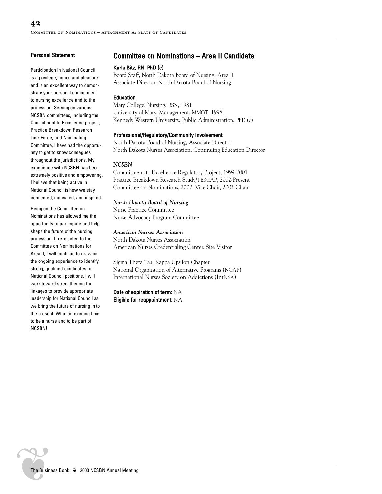#### Personal Statement

Participation in National Council is a privilege, honor, and pleasure and is an excellent way to demonstrate your personal commitment to nursing excellence and to the profession. Serving on various NCSBN committees, including the Commitment to Excellence project, Practice Breakdown Research Task Force, and Nominating Committee, I have had the opportunity to get to know colleagues throughout the jurisdictions. My experience with NCSBN has been extremely positive and empowering. I believe that being active in National Council is how we stay connected, motivated, and inspired.

Being on the Committee on Nominations has allowed me the opportunity to participate and help shape the future of the nursing profession. If re-elected to the Committee on Nominations for Area II, I will continue to draw on the ongoing experience to identify strong, qualified candidates for National Council positions. I will work toward strengthening the linkages to provide appropriate leadership for National Council as we bring the future of nursing in to the present. What an exciting time to be a nurse and to be part of NCSBN!

# Committee on Nominations – Area II Candidate

#### Karla Bitz, RN, PhD (c)

Board Staff, North Dakota Board of Nursing, Area II Associate Director, North Dakota Board of Nursing

#### **Education**

Mary College, Nursing, BSN, 1981 University of Mary, Management, MMGT, 1998 Kennedy Western University, Public Administration, PhD (c)

#### Professional/Regulatory/Community Involvement

North Dakota Board of Nursing, Associate Director North Dakota Nurses Association, Continuing Education Director

#### *NCSBN*

Commitment to Excellence Regulatory Project, 1999-2001 Practice Breakdown Research Study/TERCAP, 2002-Present Committee on Nominations, 2002–Vice Chair, 2003-Chair

#### *North Dakota Board of Nursing*

Nurse Practice Committee Nurse Advocacy Program Committee

#### *American Nurses Association*

North Dakota Nurses Association American Nurses Credentialing Center, Site Visitor

Sigma Theta Tau, Kappa Upsilon Chapter National Organization of Alternative Programs (NOAP) International Nurses Society on Addictions (IntNSA)

Date of expiration of term: NA Eligible for reappointment: NA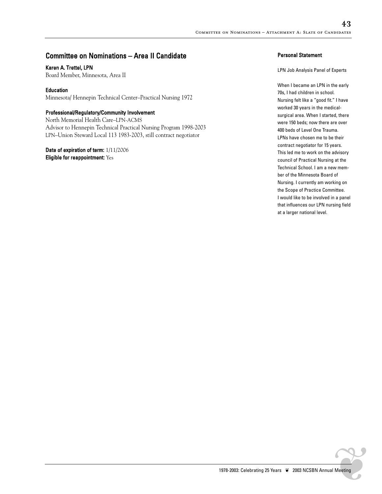# Committee on Nominations – Area II Candidate

#### Karen A. Trettel, LPN

Board Member, Minnesota, Area II

#### Education

Minnesota/ Hennepin Technical Center–Practical Nursing 1972

#### Professional/Regulatory/Community Involvement

North Memorial Health Care–LPN-ACMS Advisor to Hennepin Technical Practical Nursing Program 1998-2003 LPN–Union Steward Local 113 1983-2003, still contract negotiator

Date of expiration of term:  $1/11/2006$ Eligible for reappointment: Yes

#### Personal Statement

LPN Job Analysis Panel of Experts

When I became an LPN in the early 70s, I had children in school. Nursing felt like a "good fit." I have worked 30 years in the medicalsurgical area. When I started, there were 150 beds; now there are over 400 beds of Level One Trauma. LPNs have chosen me to be their contract negotiator for 15 years. This led me to work on the advisory council of Practical Nursing at the Technical School. I am a new member of the Minnesota Board of Nursing. I currently am working on the Scope of Practice Committee. I would like to be involved in a panel that influences our LPN nursing field at a larger national level.

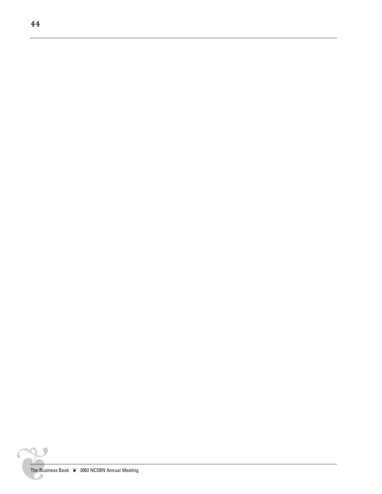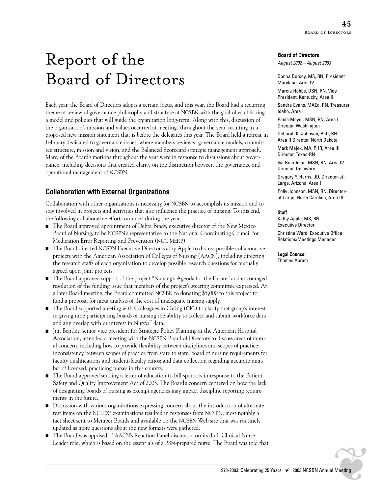# Report of the Board of Directors

Each year, the Board of Directors adopts a certain focus, and this year, the Board had a recurring theme of review of governance philosophy and structure at NCSBN with the goal of establishing a model and policies that will guide the organization long-term. Along with this, discussion of the organization's mission and values occurred at meetings throughout the year, resulting in a proposed new mission statement that is before the delegates this year. The Board held a retreat in February dedicated to governance issues, where members reviewed governance models, committee structure, mission and vision, and the Balanced Scorecard strategic management approach. Many of the Board's motions throughout the year were in response to discussions about governance, including decisions that created clarity on the distinction between the governance and operational management of NCSBN.

# Collaboration with External Organizations

Collaboration with other organizations is necessary for NCSBN to accomplish its mission and to stay involved in projects and activities that also influence the practice of nursing. To this end, the following collaborative efforts occurred during the year.

- The Board approved appointment of Debra Brady, executive director of the New Mexico Board of Nursing, to be NCSBN's representative to the National Coordinating Council for Medication Error Reporting and Prevention (NCC MERP).
- The Board directed NCSBN Executive Director Kathy Apple to discuss possible collaborative projects with the American Association of Colleges of Nursing (AACN), including directing the research staffs of each organization to develop possible research questions for mutually agreed upon joint projects.
- The Board approved support of the project "Nursing's Agenda for the Future" and encouraged resolution of the funding issue that members of the project's steering committee expressed. At a later Board meeting, the Board committed NCSBN to donating \$5,000 to this project to fund a proposal for meta-analysis of the cost of inadequate nursing supply.
- The Board supported meeting with Colleagues in Caring (CIC) to clarify that group's interest in giving nine participating boards of nursing the ability to collect and submit workforce data and any overlap with or interest in Nur*sys*™ data.
- Iim Bentley, senior vice president for Strategic Policy Planning at the American Hospital Association, attended a meeting with the NCSBN Board of Directors to discuss areas of mutual concern, including how to provide flexibility between disciplines and scopes of practice; inconsistency between scopes of practice from state to state; board of nursing requirements for faculty qualifications and student-faculty ratios; and data collection regarding accurate number of licensed, practicing nurses in this country.
- The Board approved sending a letter of education to bill sponsors in response to the Patient Safety and Quality Improvement Act of 2003. The Board's concern centered on how the lack of designating boards of nursing as exempt agencies may impact discipline reporting requirements in the future.
- Discussion with various organizations expressing concern about the introduction of alternate test items on the NCLEX® examinations resulted in responses from NCSBN, most notably a fact sheet sent to Member Boards and available on the NCSBN Web site that was routinely updated as more questions about the new formats were gathered.
- The Board was apprised of AACN's Reaction Panel discussion on its draft Clinical Nurse Leader role, which is based on the essentials of a BSN-prepared nurse. The Board was told that

#### Board of Directors

August 2002 – August 2003

Donna Dorsey, MS, RN, President Maryland, Area IV Marcia Hobbs, DSN, RN, Vice President, Kentucky, Area III

Sandra Evans, MAEd, RN, Treasurer Idaho, Area I

Paula Meyer, MSN, RN, Area I Director, Washington

Deborah K. Johnson, PhD, RN Area II Director, North Dakota

Mark Majek, MA, PHR, Area III Director, Texas-RN

Iva Boardman, MSN, RN, Area IV Director, Delaware

Gregory Y. Harris, JD, Director-at-Large, Arizona, Area I

Polly Johnson, MSN, RN, Directorat-Large, North Carolina, Area III

#### Staff

Kathy Apple, MS, RN Executive Director Christine Ward, Executive Office Relations/Meetings Manager

#### Legal Counsel

Thomas Abram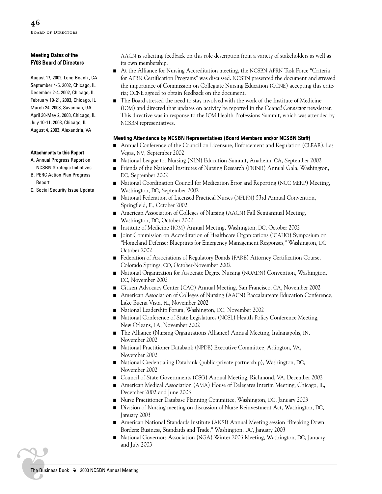## Meeting Dates of the FY03 Board of Directors

August 17, 2002, Long Beach , CA September 4-5, 2002, Chicago, IL December 2-4, 2002, Chicago, IL February 19-21, 2003, Chicago, IL March 24, 2003, Savannah, GA April 30-May 2, 2003, Chicago, IL July 10-11, 2003, Chicago, IL August 4, 2003, Alexandria, VA

#### Attachments to this Report

- A. Annual Progress Report on NCSBN Strategic Initiatives
- B. PERC Action Plan Progress Report
- C. Social Security Issue Update

AACN is soliciting feedback on this role description from a variety of stakeholders as well as its own membership.

- At the Alliance for Nursing Accreditation meeting, the NCSBN APRN Task Force "Criteria for APRN Certification Programs" was discussed. NCSBN presented the document and stressed the importance of Commission on Collegiate Nursing Education (CCNE) accepting this criteria; CCNE agreed to obtain feedback on the document.
- The Board stressed the need to stay involved with the work of the Institute of Medicine (IOM) and directed that updates on activity be reported in the *Council Connector* newsletter. This directive was in response to the IOM Health Professions Summit, which was attended by NCSBN representatives.

#### Meeting Attendance by NCSBN Representatives (Board Members and/or NCSBN Staff)

- Annual Conference of the Council on Licensure, Enforcement and Regulation (CLEAR), Las Vegas, NV, September 2002
- National League for Nursing (NLN) Education Summit, Anaheim, CA, September 2002
- Friends of the National Institutes of Nursing Research (FNINR) Annual Gala, Washington, DC, September 2002
- National Coordination Council for Medication Error and Reporting (NCC MERP) Meeting, Washington, DC, September 2002
- National Federation of Licensed Practical Nurses (NFLPN) 53rd Annual Convention, Springfield, IL, October 2002
- American Association of Colleges of Nursing (AACN) Fall Semiannual Meeting, Washington, DC, October 2002
- Institute of Medicine (IOM) Annual Meeting, Washington, DC, October 2002
- Joint Commission on Accreditation of Healthcare Organizations (JCAHO) Symposium on "Homeland Defense: Blueprints for Emergency Management Responses," Washington, DC, October 2002
- Federation of Associations of Regulatory Boards (FARB) Attorney Certification Course, Colorado Springs, CO, October-November 2002
- National Organization for Associate Degree Nursing (NOADN) Convention, Washington, DC, November 2002
- Citizen Advocacy Center (CAC) Annual Meeting, San Francisco, CA, November 2002
- American Association of Colleges of Nursing (AACN) Baccalaureate Education Conference, Lake Buena Vista, FL, November 2002
- National Leadership Forum, Washington, DC, November 2002
- National Conference of State Legislatures (NCSL) Health Policy Conference Meeting, New Orleans, LA, November 2002
- The Alliance (Nursing Organizations Alliance) Annual Meeting, Indianapolis, IN, November 2002
- National Practitioner Databank (NPDB) Executive Committee, Arlington, VA, November 2002
- National Credentialing Databank (public-private partnership), Washington, DC, November 2002
- Council of State Governments (CSG) Annual Meeting, Richmond, VA, December 2002
- American Medical Association (AMA) House of Delegates Interim Meeting, Chicago, IL, December 2002 and June 2003
- Nurse Practitioner Database Planning Committee, Washington, DC, January 2003
- Division of Nursing meeting on discussion of Nurse Reinvestment Act, Washington, DC, January 2003
- American National Standards Institute (ANSI) Annual Meeting session "Breaking Down Borders: Business, Standards and Trade," Washington, DC, January 2003
- National Governors Association (NGA) Winter 2003 Meeting, Washington, DC, January and July 2003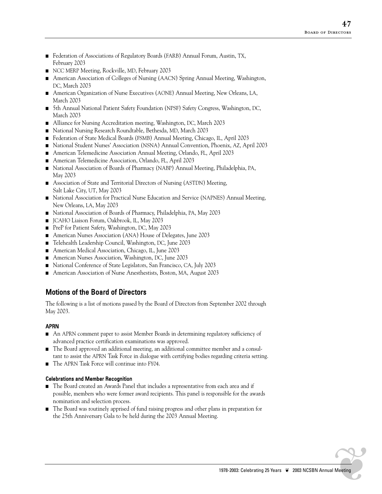- Federation of Associations of Regulatory Boards (FARB) Annual Forum, Austin, TX, February 2003
- NCC MERP Meeting, Rockville, MD, February 2003
- American Association of Colleges of Nursing (AACN) Spring Annual Meeting, Washington, DC, March 2003
- American Organization of Nurse Executives (AONE) Annual Meeting, New Orleans, LA, March 2003
- 5th Annual National Patient Safety Foundation (NPSF) Safety Congress, Washington, DC, March 2003
- Alliance for Nursing Accreditation meeting, Washington, DC, March 2003
- National Nursing Research Roundtable, Bethesda, MD, March 2003
- Federation of State Medical Boards (FSMB) Annual Meeting, Chicago, IL, April 2003
- National Student Nurses' Association (NSNA) Annual Convention, Phoenix, AZ, April 2003
- American Telemedicine Association Annual Meeting, Orlando, FL, April 2003
- American Telemedicine Association, Orlando, FL, April 2003
- National Association of Boards of Pharmacy (NABP) Annual Meeting, Philadelphia, PA, May 2003
- Association of State and Territorial Directors of Nursing (ASTDN) Meeting, Salt Lake City, UT, May 2003
- National Association for Practical Nurse Education and Service (NAPNES) Annual Meeting, New Orleans, LA, May 2003
- National Association of Boards of Pharmacy, Philadelphia, PA, May 2003
- JCAHO Liaison Forum, Oakbrook, IL, May 2003
- PreP for Patient Safety, Washington, DC, May 2003
- American Nurses Association (ANA) House of Delegates, June 2003
- Telehealth Leadership Council, Washington, DC, June 2003
- American Medical Association, Chicago, IL, June 2003
- American Nurses Association, Washington, DC, June 2003
- National Conference of State Legislators, San Francisco, CA, July 2003
- American Association of Nurse Anesthestists, Boston, MA, August 2003

# Motions of the Board of Directors

The following is a list of motions passed by the Board of Directors from September 2002 through May 2003.

### APRN

- An APRN comment paper to assist Member Boards in determining regulatory sufficiency of advanced practice certification examinations was approved.
- The Board approved an additional meeting, an additional committee member and a consultant to assist the APRN Task Force in dialogue with certifying bodies regarding criteria setting.
- The APRN Task Force will continue into FY04.

#### Celebrations and Member Recognition

- The Board created an Awards Panel that includes a representative from each area and if possible, members who were former award recipients. This panel is responsible for the awards nomination and selection process.
- The Board was routinely apprised of fund raising progress and other plans in preparation for the 25th Anniversary Gala to be held during the 2003 Annual Meeting.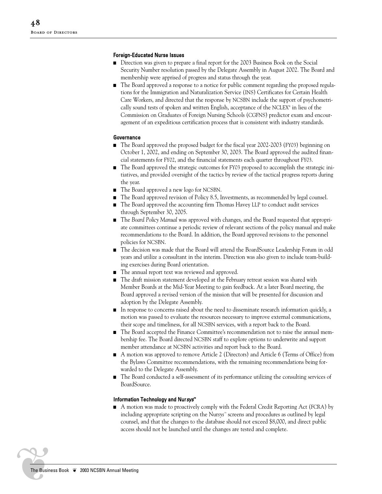#### Foreign-Educated Nurse Issues

- Direction was given to prepare a final report for the 2003 Business Book on the Social Security Number resolution passed by the Delegate Assembly in August 2002. The Board and membership were apprised of progress and status through the year.
- The Board approved a response to a notice for public comment regarding the proposed regulations for the Immigration and Naturalization Service (INS) Certificates for Certain Health Care Workers, and directed that the response by NCSBN include the support of psychometrically sound tests of spoken and written English, acceptance of the NCLEX® in lieu of the Commission on Graduates of Foreign Nursing Schools (CGFNS) predictor exam and encouragement of an expeditious certification process that is consistent with industry standards.

#### **Governance**

- The Board approved the proposed budget for the fiscal year 2002-2003 (FY03) beginning on October 1, 2002, and ending on September 30, 2003. The Board approved the audited financial statements for FY02, and the financial statements each quarter throughout FY03.
- The Board approved the strategic outcomes for FY03 proposed to accomplish the strategic initiatives, and provided oversight of the tactics by review of the tactical progress reports during the year.
- The Board approved a new logo for NCSBN.
- The Board approved revision of Policy 8.5, Investments, as recommended by legal counsel.
- The Board approved the accounting firm Thomas Havey LLP to conduct audit services through September 30, 2005.
- The *Board Policy Manual* was approved with changes, and the Board requested that appropriate committees continue a periodic review of relevant sections of the policy manual and make recommendations to the Board. In addition, the Board approved revisions to the personnel policies for NCSBN.
- The decision was made that the Board will attend the BoardSource Leadership Forum in odd years and utilize a consultant in the interim. Direction was also given to include team-building exercises during Board orientation.
- The annual report text was reviewed and approved.
- The draft mission statement developed at the February retreat session was shared with Member Boards at the Mid-Year Meeting to gain feedback. At a later Board meeting, the Board approved a revised version of the mission that will be presented for discussion and adoption by the Delegate Assembly.
- In response to concerns raised about the need to disseminate research information quickly, a motion was passed to evaluate the resources necessary to improve external communications, their scope and timeliness, for all NCSBN services, with a report back to the Board.
- The Board accepted the Finance Committee's recommendation not to raise the annual membership fee. The Board directed NCSBN staff to explore options to underwrite and support member attendance at NCSBN activities and report back to the Board.
- A motion was approved to remove Article 2 (Directors) and Article 6 (Terms of Office) from the Bylaws Committee recommendations, with the remaining recommendations being forwarded to the Delegate Assembly.
- The Board conducted a self-assessment of its performance utilizing the consulting services of BoardSource.

#### Information Technology and Nursys™

■ A motion was made to proactively comply with the Federal Credit Reporting Act (FCRA) by including appropriate scripting on the Nur*sys™* screens and procedures as outlined by legal counsel, and that the changes to the database should not exceed \$8,000, and direct public access should not be launched until the changes are tested and complete.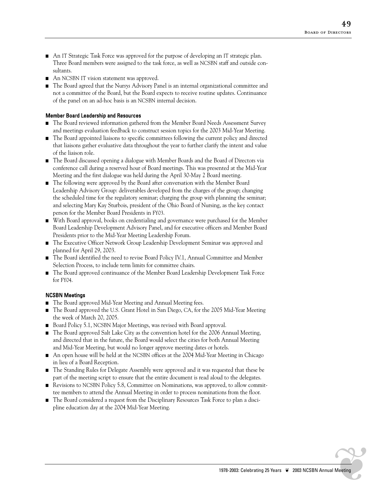- An IT Strategic Task Force was approved for the purpose of developing an IT strategic plan. Three Board members were assigned to the task force, as well as NCSBN staff and outside consultants.
- An NCSBN IT vision statement was approved.
- The Board agreed that the Nursys Advisory Panel is an internal organizational committee and not a committee of the Board, but the Board expects to receive routine updates. Continuance of the panel on an ad-hoc basis is an NCSBN internal decision.

#### Member Board Leadership and Resources

- The Board reviewed information gathered from the Member Board Needs Assessment Survey and meetings evaluation feedback to construct session topics for the 2003 Mid-Year Meeting.
- The Board appointed liaisons to specific committees following the current policy and directed that liaisons gather evaluative data throughout the year to further clarify the intent and value of the liaison role.
- The Board discussed opening a dialogue with Member Boards and the Board of Directors via conference call during a reserved hour of Board meetings. This was presented at the Mid-Year Meeting and the first dialogue was held during the April 30-May 2 Board meeting.
- The following were approved by the Board after conversation with the Member Board Leadership Advisory Group: deliverables developed from the charges of the group; changing the scheduled time for the regulatory seminar; charging the group with planning the seminar; and selecting Mary Kay Sturbois, president of the Ohio Board of Nursing, as the key contact person for the Member Board Presidents in FY03.
- With Board approval, books on credentialing and governance were purchased for the Member Board Leadership Development Advisory Panel, and for executive officers and Member Board Presidents prior to the Mid-Year Meeting Leadership Forum.
- The Executive Officer Network Group Leadership Development Seminar was approved and planned for April 29, 2003.
- The Board identified the need to revise Board Policy IV.1, Annual Committee and Member Selection Process, to include term limits for committee chairs.
- The Board approved continuance of the Member Board Leadership Development Task Force for FY04.

### NCSBN Meetings

- The Board approved Mid-Year Meeting and Annual Meeting fees.
- The Board approved the U.S. Grant Hotel in San Diego, CA, for the 2005 Mid-Year Meeting the week of March 20, 2005.
- Board Policy 5.1, NCSBN Major Meetings, was revised with Board approval.
- The Board approved Salt Lake City as the convention hotel for the 2006 Annual Meeting, and directed that in the future, the Board would select the cities for both Annual Meeting and Mid-Year Meeting, but would no longer approve meeting dates or hotels.
- An open house will be held at the NCSBN offices at the 2004 Mid-Year Meeting in Chicago in lieu of a Board Reception.
- The Standing Rules for Delegate Assembly were approved and it was requested that these be part of the meeting script to ensure that the entire document is read aloud to the delegates.
- Revisions to NCSBN Policy 5.8, Committee on Nominations, was approved, to allow committee members to attend the Annual Meeting in order to process nominations from the floor.
- The Board considered a request from the Disciplinary Resources Task Force to plan a discipline education day at the 2004 Mid-Year Meeting.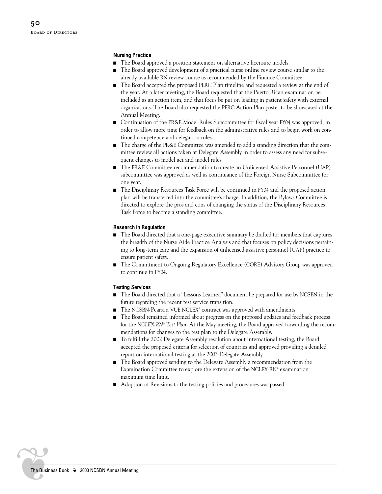#### Nursing Practice

- The Board approved a position statement on alternative licensure models.
- The Board approved development of a practical nurse online review course similar to the already available RN review course as recommended by the Finance Committee.
- The Board accepted the proposed PERC Plan timeline and requested a review at the end of the year. At a later meeting, the Board requested that the Puerto Rican examination be included as an action item, and that focus be put on leading in patient safety with external organizations. The Board also requested the PERC Action Plan poster to be showcased at the Annual Meeting.
- Continuation of the PR&E Model Rules Subcommittee for fiscal year FY04 was approved, in order to allow more time for feedback on the administrative rules and to begin work on continued competence and delegation rules.
- The charge of the PR&E Committee was amended to add a standing direction that the committee review all actions taken at Delegate Assembly in order to assess any need for subsequent changes to model act and model rules.
- The PR&E Committee recommendation to create an Unlicensed Assistive Personnel (UAP) subcommittee was approved as well as continuance of the Foreign Nurse Subcommittee for one year.
- The Disciplinary Resources Task Force will be continued in FY04 and the proposed action plan will be transferred into the committee's charge. In addition, the Bylaws Committee is directed to explore the pros and cons of changing the status of the Disciplinary Resources Task Force to become a standing committee.

#### Research in Regulation

- The Board directed that a one-page executive summary be drafted for members that captures the breadth of the Nurse Aide Practice Analysis and that focuses on policy decisions pertaining to long-term care and the expansion of unlicensed assistive personnel (UAP) practice to ensure patient safety.
- The Commitment to Ongoing Regulatory Excellence (CORE) Advisory Group was approved to continue in FY04.

#### Testing Services

- The Board directed that a "Lessons Learned" document be prepared for use by NCSBN in the future regarding the recent test service transition.
- The NCSBN-Pearson VUE NCLEX<sup>®</sup> contract was approved with amendments.
- The Board remained informed about progress on the proposed updates and feedback process for the *NCLEX-RN® Test Plan*. At the May meeting, the Board approved forwarding the recommendations for changes to the test plan to the Delegate Assembly.
- To fulfill the 2002 Delegate Assembly resolution about international testing, the Board accepted the proposed criteria for selection of countries and approved providing a detailed report on international testing at the 2003 Delegate Assembly.
- The Board approved sending to the Delegate Assembly a recommendation from the Examination Committee to explore the extension of the NCLEX-RN® examination maximum time limit.
- Adoption of Revisions to the testing policies and procedures was passed.

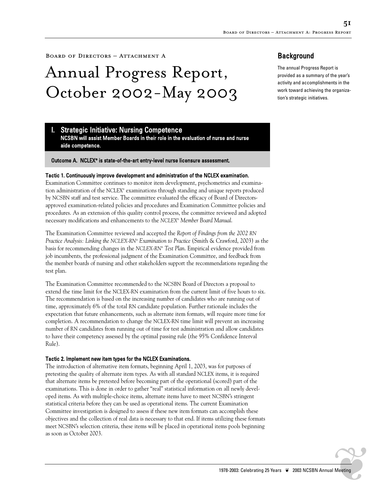BOARD OF DIRECTORS - ATTACHMENT A

# Annual Progress Report, October 2002-May 2003

# **Strategic Initiative: Nursing Competence**

NCSBN will assist Member Boards in their role in the evaluation of nurse and nurse aide competence.

Outcome A. NCLEX® is state-of-the-art entry-level nurse licensure assessment.

#### Tactic 1. Continuously improve development and administration of the NCLEX examination.

Examination Committee continues to monitor item development, psychometrics and examination administration of the NCLEX® examinations through standing and unique reports produced by NCSBN staff and test service. The committee evaluated the efficacy of Board of Directorsapproved examination-related policies and procedures and Examination Committee policies and procedures. As an extension of this quality control process, the committee reviewed and adopted necessary modifications and enhancements to the *NCLEX® Member Board Manual*.

The Examination Committee reviewed and accepted the *Report of Findings from the 2002 RN Practice Analysis: Linking the NCLEX-RN® Examination to Practice* (Smith & Crawford, 2003) as the basis for recommending changes in the *NCLEX-RN® Test Plan*. Empirical evidence provided from job incumbents, the professional judgment of the Examination Committee, and feedback from the member boards of nursing and other stakeholders support the recommendations regarding the test plan.

The Examination Committee recommended to the NCSBN Board of Directors a proposal to extend the time limit for the NCLEX-RN examination from the current limit of five hours to six. The recommendation is based on the increasing number of candidates who are running out of time, approximately 6% of the total RN candidate population. Further rationale includes the expectation that future enhancements, such as alternate item formats, will require more time for completion. A recommendation to change the NCLEX-RN time limit will prevent an increasing number of RN candidates from running out of time for test administration and allow candidates to have their competency assessed by the optimal passing rule (the 95% Confidence Interval Rule).

#### Tactic 2. Implement new item types for the NCLEX Examinations.

The introduction of alternative item formats, beginning April 1, 2003, was for purposes of pretesting the quality of alternate item types. As with all standard NCLEX items, it is required that alternate items be pretested before becoming part of the operational (scored) part of the examinations. This is done in order to gather "real" statistical information on all newly developed items. As with multiple-choice items, alternate items have to meet NCSBN's stringent statistical criteria before they can be used as operational items. The current Examination Committee investigation is designed to assess if these new item formats can accomplish these objectives and the collection of real data is necessary to that end. If items utilizing these formats meet NCSBN's selection criteria, these items will be placed in operational items pools beginning as soon as October 2003.

# **Background**

The annual Progress Report is provided as a summary of the year's activity and accomplishments in the work toward achieving the organization's strategic initiatives.

Meeting 1978-2003: Celebrating 25 Years ❦ 2003 NCSBN Annual Meeting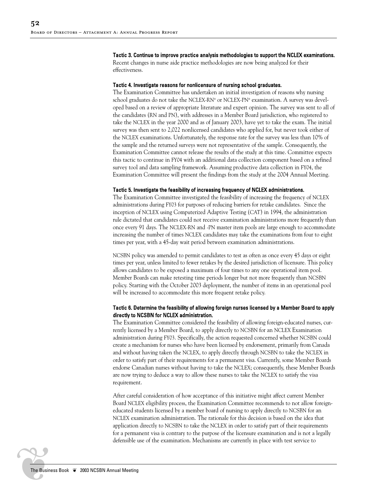Tactic 3. Continue to improve practice analysis methodologies to support the NCLEX examinations. Recent changes in nurse aide practice methodologies are now being analyzed for their effectiveness.

#### Tactic 4. Investigate reasons for nonlicensure of nursing school graduates.

The Examination Committee has undertaken an initial investigation of reasons why nursing school graduates do not take the NCLEX-RN® or NCLEX-PN® examination. A survey was developed based on a review of appropriate literature and expert opinion. The survey was sent to all of the candidates (RN and PN), with addresses in a Member Board jurisdiction, who registered to take the NCLEX in the year 2000 and as of January 2003, have yet to take the exam. The initial survey was then sent to 2,022 nonlicensed candidates who applied for, but never took either of the NCLEX examinations. Unfortunately, the response rate for the survey was less than 10% of the sample and the returned surveys were not representative of the sample. Consequently, the Examination Committee cannot release the results of the study at this time. Committee expects this tactic to continue in FY04 with an additional data collection component based on a refined survey tool and data sampling framework. Assuming productive data collection in FY04, the Examination Committee will present the findings from the study at the 2004 Annual Meeting.

#### Tactic 5. Investigate the feasibility of increasing frequency of NCLEX administrations.

The Examination Committee investigated the feasibility of increasing the frequency of NCLEX administrations during FY03 for purposes of reducing barriers for retake candidates. Since the inception of NCLEX using Computerized Adaptive Testing (CAT) in 1994, the administration rule dictated that candidates could not receive examination administrations more frequently than once every 91 days. The NCLEX-RN and -PN master item pools are large enough to accommodate increasing the number of times NCLEX candidates may take the examinations from four to eight times per year, with a 45-day wait period between examination administrations.

NCSBN policy was amended to permit candidates to test as often as once every 45 days or eight times per year, unless limited to fewer retakes by the desired jurisdiction of licensure. This policy allows candidates to be exposed a maximum of four times to any one operational item pool. Member Boards can make retesting time periods longer but not more frequently than NCSBN policy. Starting with the October 2003 deployment, the number of items in an operational pool will be increased to accommodate this more frequent retake policy.

#### Tactic 6. Determine the feasibility of allowing foreign nurses licensed by a Member Board to apply directly to NCSBN for NCLEX administration.

The Examination Committee considered the feasibility of allowing foreign-educated nurses, currently licensed by a Member Board, to apply directly to NCSBN for an NCLEX Examination administration during FY03. Specifically, the action requested concerned whether NCSBN could create a mechanism for nurses who have been licensed by endorsement, primarily from Canada and without having taken the NCLEX, to apply directly through NCSBN to take the NCLEX in order to satisfy part of their requirements for a permanent visa. Currently, some Member Boards endorse Canadian nurses without having to take the NCLEX; consequently, these Member Boards are now trying to deduce a way to allow these nurses to take the NCLEX to satisfy the visa requirement.

After careful consideration of how acceptance of this initiative might affect current Member Board NCLEX eligibility process, the Examination Committee recommends to not allow foreigneducated students licensed by a member board of nursing to apply directly to NCSBN for an NCLEX examination administration. The rationale for this decision is based on the idea that application directly to NCSBN to take the NCLEX in order to satisfy part of their requirements for a permanent visa is contrary to the purpose of the licensure examination and is not a legally defensible use of the examination. Mechanisms are currently in place with test service to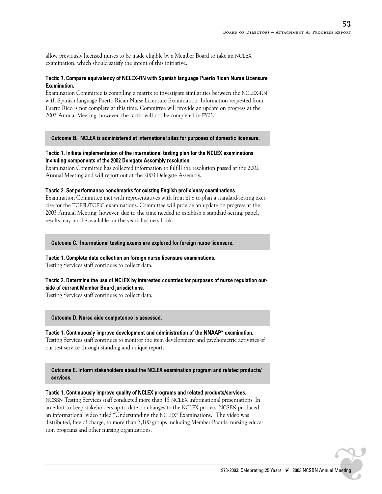allow previously licensed nurses to be made eligible by a Member Board to take an NCLEX examination, which should satisfy the intent of this initiative.

#### Tactic 7. Compare equivalency of NCLEX-RN with Spanish language Puerto Rican Nurse Licensure Examination.

Examination Committee is compiling a matrix to investigate similarities between the NCLEX-RN with Spanish language Puerto Rican Nurse Licensure Examination. Information requested from Puerto Rico is not complete at this time. Committee will provide an update on progress at the 2003 Annual Meeting; however, the tactic will not be completed in FY03.

#### Outcome B. NCLEX is administered at international sites for purposes of domestic licensure.

#### Tactic 1. Initiate implementation of the international testing plan for the NCLEX examinations including components of the 2002 Delegate Assembly resolution.

Examination Committee has collected information to fulfill the resolution passed at the 2002 Annual Meeting and will report out at the 2003 Delegate Assembly.

#### Tactic 2. Set performance benchmarks for existing English proficiency examinations.

Examination Committee met with representatives with from ETS to plan a standard-setting exercise for the TOEFL/TOEIC examinations. Committee will provide an update on progress at the 2003 Annual Meeting; however, due to the time needed to establish a standard-setting panel, results may not be available for the year's business book.

#### Outcome C. International testing exams are explored for foreign nurse licensure.

#### Tactic 1. Complete data collection on foreign nurse licensure examinations.

Testing Services staff continues to collect data.

#### Tactic 2. Determine the use of NCLEX by interested countries for purposes of nurse regulation outside of current Member Board jurisdictions.

Testing Services staff continues to collect data.

#### Outcome D. Nurse aide competence is assessed.

#### Tactic 1. Continuously improve development and administration of the NNAAP™ examination.

Testing Services staff continues to monitor the item development and psychometric activities of our test service through standing and unique reports.

Outcome E. Inform stakeholders about the NCLEX examination program and related products/ services.

#### Tactic 1. Continuously improve quality of NCLEX programs and related products/services.

NCSBN Testing Services staff conducted more than 15 NCLEX informational presentations. In an effort to keep stakeholders up-to-date on changes to the NCLEX process, NCSBN produced an informational video titled "Understanding the NCLEX® Examinations." The video was distributed, free of charge, to more than 3,100 groups including Member Boards, nursing education programs and other nursing organizations.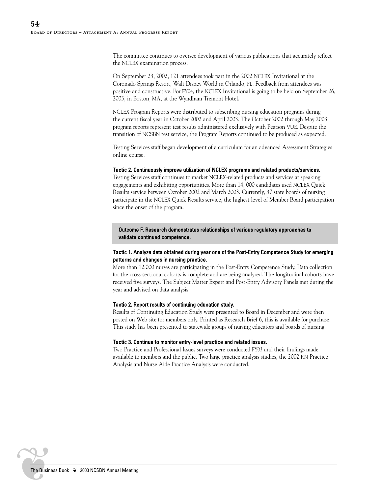The committee continues to oversee development of various publications that accurately reflect the NCLEX examination process.

On September 23, 2002, 121 attendees took part in the 2002 NCLEX Invitational at the Coronado Springs Resort, Walt Disney World in Orlando, FL. Feedback from attendees was positive and constructive. For FY04, the NCLEX Invitational is going to be held on September 26, 2003, in Boston, MA, at the Wyndham Tremont Hotel.

NCLEX Program Reports were distributed to subscribing nursing education programs during the current fiscal year in October 2002 and April 2003. The October 2002 through May 2003 program reports represent test results administered exclusively with Pearson VUE. Despite the transition of NCSBN test service, the Program Reports continued to be produced as expected.

Testing Services staff began development of a curriculum for an advanced Assessment Strategies online course.

#### Tactic 2. Continuously improve utilization of NCLEX programs and related products/services.

Testing Services staff continues to market NCLEX-related products and services at speaking engagements and exhibiting opportunities. More than 14, 000 candidates used NCLEX Quick Results service between October 2002 and March 2003. Currently, 37 state boards of nursing participate in the NCLEX Quick Results service, the highest level of Member Board participation since the onset of the program.

Outcome F. Research demonstrates relationships of various regulatory approaches to validate continued competence.

#### Tactic 1. Analyze data obtained during year one of the Post-Entry Competence Study for emerging patterns and changes in nursing practice.

More than 12,000 nurses are participating in the Post-Entry Competence Study. Data collection for the cross-sectional cohorts is complete and are being analyzed. The longitudinal cohorts have received five surveys. The Subject Matter Expert and Post-Entry Advisory Panels met during the year and advised on data analysis.

#### Tactic 2. Report results of continuing education study.

Results of Continuing Education Study were presented to Board in December and were then posted on Web site for members only. Printed as Research Brief 6, this is available for purchase. This study has been presented to statewide groups of nursing educators and boards of nursing.

#### Tactic 3. Continue to monitor entry-level practice and related issues.

Two Practice and Professional Issues surveys were conducted FY03 and their findings made available to members and the public. Two large practice analysis studies, the 2002 RN Practice Analysis and Nurse Aide Practice Analysis were conducted.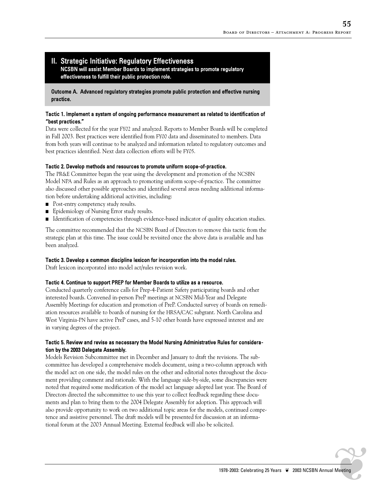#### II. Strategic Initiative: Regulatory Effectiveness NCSBN will assist Member Boards to implement strategies to promote regulatory effectiveness to fulfill their public protection role.

#### Outcome A. Advanced regulatory strategies promote public protection and effective nursing practice.

#### Tactic 1. Implement a system of ongoing performance measurement as related to identification of "best practices."

Data were collected for the year FY02 and analyzed. Reports to Member Boards will be completed in Fall 2003. Best practices were identified from FY00 data and disseminated to members. Data from both years will continue to be analyzed and information related to regulatory outcomes and best practices identified. Next data collection efforts will be FY05.

#### Tactic 2. Develop methods and resources to promote uniform scope-of-practice.

The PR&E Committee began the year using the development and promotion of the NCSBN Model NPA and Rules as an approach to promoting uniform scope-of-practice. The committee also discussed other possible approaches and identified several areas needing additional information before undertaking additional activities, including:

- Post-entry competency study results.
- Epidemiology of Nursing Error study results.
- Identification of competencies through evidence-based indicator of quality education studies.

The committee recommended that the NCSBN Board of Directors to remove this tactic from the strategic plan at this time. The issue could be revisited once the above data is available and has been analyzed.

#### Tactic 3. Develop a common discipline lexicon for incorporation into the model rules.

Draft lexicon incorporated into model act/rules revision work.

#### Tactic 4. Continue to support PREP for Member Boards to utilize as a resource.

Conducted quarterly conference calls for Prep-4-Patient Safety participating boards and other interested boards. Convened in-person PreP meetings at NCSBN Mid-Year and Delegate Assembly Meetings for education and promotion of PreP. Conducted survey of boards on remediation resources available to boards of nursing for the HRSA/CAC subgrant. North Carolina and West Virginia-PN have active PreP cases, and 5-10 other boards have expressed interest and are in varying degrees of the project.

#### Tactic 5. Review and revise as necessary the Model Nursing Administrative Rules for consideration by the 2003 Delegate Assembly.

Models Revision Subcommittee met in December and January to draft the revisions. The subcommittee has developed a comprehensive models document, using a two-column approach with the model act on one side, the model rules on the other and editorial notes throughout the document providing comment and rationale. With the language side-by-side, some discrepancies were noted that required some modification of the model act language adopted last year. The Board of Directors directed the subcommittee to use this year to collect feedback regarding these documents and plan to bring them to the 2004 Delegate Assembly for adoption. This approach will also provide opportunity to work on two additional topic areas for the models, continued competence and assistive personnel. The draft models will be presented for discussion at an informational forum at the 2003 Annual Meeting. External feedback will also be solicited.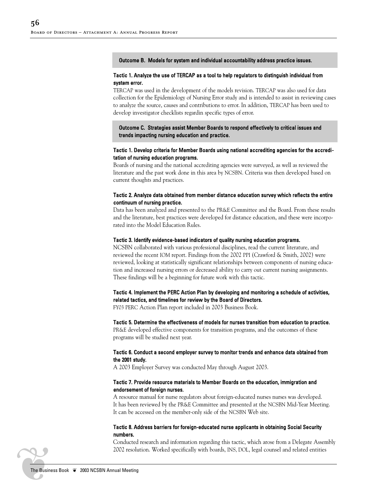#### Outcome B. Models for system and individual accountability address practice issues.

#### Tactic 1. Analyze the use of TERCAP as a tool to help regulators to distinguish individual from system error.

TERCAP was used in the development of the models revision. TERCAP was also used for data collection for the Epidemiology of Nursing Error study and is intended to assist in reviewing cases to analyze the source, causes and contributions to error. In addition, TERCAP has been used to develop investigator checklists regardin specific types of error.

Outcome C. Strategies assist Member Boards to respond effectively to critical issues and trends impacting nursing education and practice.

#### Tactic 1. Develop criteria for Member Boards using national accrediting agencies for the accreditation of nursing education programs.

Boards of nursing and the national accrediting agencies were surveyed, as well as reviewed the literature and the past work done in this area by NCSBN. Criteria was then developed based on current thoughts and practices.

#### Tactic 2. Analyze data obtained from member distance education survey which reflects the entire continuum of nursing practice.

Data has been analyzed and presented to the PR&E Committee and the Board. From these results and the literature, best practices were developed for distance education, and these were incorporated into the Model Education Rules.

#### Tactic 3. Identify evidence-based indicators of quality nursing education programs.

NCSBN collaborated with various professional disciplines, read the current literature, and reviewed the recent IOM report. Findings from the 2002 PPI (Crawford & Smith, 2002) were reviewed, looking at statistically significant relationships between components of nursing education and increased nursing errors or decreased ability to carry out current nursing assignments. These findings will be a beginning for future work with this tactic.

#### Tactic 4. Implement the PERC Action Plan by developing and monitoring a schedule of activities, related tactics, and timelines for review by the Board of Directors.

FY03 PERC Action Plan report included in 2003 Business Book.

#### Tactic 5. Determine the effectiveness of models for nurses transition from education to practice.

PR&E developed effective components for transition programs, and the outcomes of these programs will be studied next year.

#### Tactic 6. Conduct a second employer survey to monitor trends and enhance data obtained from the 2001 study.

A 2003 Employer Survey was conducted May through August 2003.

#### Tactic 7. Provide resource materials to Member Boards on the education, immigration and endorsement of foreign nurses.

A resource manual for nurse regulators about foreign-educated nurses nurses was developed. It has been reviewed by the PR&E Committee and presented at the NCSBN Mid-Year Meeting. It can be accessed on the member-only side of the NCSBN Web site.

#### Tactic 8. Address barriers for foreign-educated nurse applicants in obtaining Social Security numbers.

Conducted research and information regarding this tactic, which arose from a Delegate Assembly 2002 resolution. Worked specifically with boards, INS, DOL, legal counsel and related entities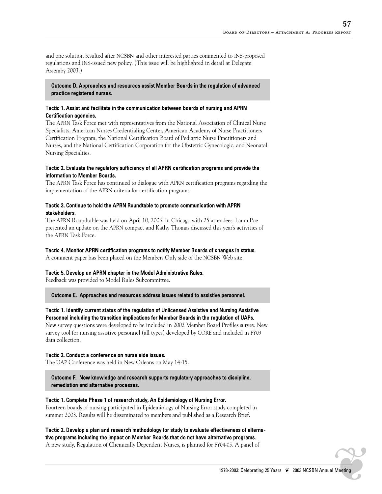and one solution resulted after NCSBN and other interested parties commented to INS-proposed regulations and INS-issued new policy. (This issue will be highlighted in detail at Delegate Assemby 2003.)

Outcome D. Approaches and resources assist Member Boards in the regulation of advanced practice registered nurses.

#### Tactic 1. Assist and facilitate in the communication between boards of nursing and APRN Certification agencies.

The APRN Task Force met with representatives from the National Association of Clinical Nurse Specialists, American Nurses Credentialing Center, American Academy of Nurse Practitioners Certification Program, the National Certification Board of Pediatric Nurse Practitioners and Nurses, and the National Certification Corporation for the Obstetric Gynecologic, and Neonatal Nursing Specialties.

#### Tactic 2. Evaluate the regulatory sufficiency of all APRN certification programs and provide the information to Member Boards.

The APRN Task Force has continued to dialogue with APRN certification programs regarding the implementation of the APRN criteria for certification programs.

#### Tactic 3. Continue to hold the APRN Roundtable to promote communication with APRN stakeholders.

The APRN Roundtable was held on April 10, 2003, in Chicago with 25 attendees. Laura Poe presented an update on the APRN compact and Kathy Thomas discussed this year's activities of the APRN Task Force.

#### Tactic 4. Monitor APRN certification programs to notify Member Boards of changes in status.

A comment paper has been placed on the Members Only side of the NCSBN Web site.

#### Tactic 5. Develop an APRN chapter in the Model Administrative Rules.

Feedback was provided to Model Rules Subcommittee.

Outcome E. Approaches and resources address issues related to assistive personnel.

#### Tactic 1. Identify current status of the regulation of Unlicensed Assistive and Nursing Assistive Personnel including the transition implications for Member Boards in the regulation of UAPs.

New survey questions were developed to be included in 2002 Member Board Profiles survey. New survey tool for nursing assistive personnel (all types) developed by CORE and included in FY03 data collection.

#### Tactic 2. Conduct a conference on nurse aide issues.

The UAP Conference was held in New Orleans on May 14-15.

Outcome F. New knowledge and research supports regulatory approaches to discipline, remediation and alternative processes.

#### Tactic 1. Complete Phase 1 of research study, An Epidemiology of Nursing Error.

Fourteen boards of nursing participated in Epidemiology of Nursing Error study completed in summer 2003. Results will be disseminated to members and published as a Research Brief.

# Tactic 2. Develop a plan and research methodology for study to evaluate effectiveness of alternative programs including the impact on Member Boards that do not have alternative programs.

A new study, Regulation of Chemically Dependent Nurses, is planned for FY04-05. A panel of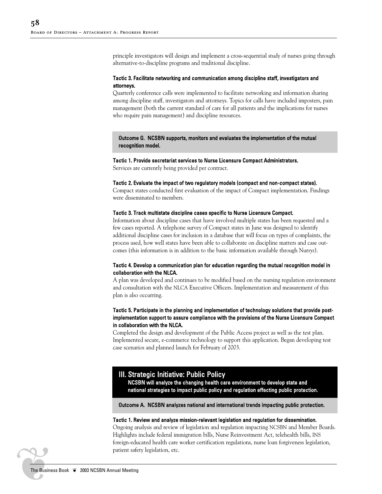principle investigators will design and implement a cross-sequential study of nurses going through alternative-to-discipline programs and traditional discipline.

#### Tactic 3. Facilitate networking and communication among discipline staff, investigators and attorneys.

Quarterly conference calls were implemented to facilitate networking and information sharing among discipline staff, investigators and attorneys. Topics for calls have included imposters, pain management (both the current standard of care for all patients and the implications for nurses who require pain management) and discipline resources.

Outcome G. NCSBN supports, monitors and evaluates the implementation of the mutual recognition model.

Tactic 1. Provide secretariat services to Nurse Licensure Compact Administrators. Services are currently being provided per contract.

#### Tactic 2. Evaluate the impact of two regulatory models (compact and non-compact states).

Compact states conducted first evaluation of the impact of Compact implementation. Findings were disseminated to members.

#### Tactic 3. Track multistate discipline cases specific to Nurse Licensure Compact.

Information about discipline cases that have involved multiple states has been requested and a few cases reported. A telephone survey of Compact states in June was designed to identify additional discipline cases for inclusion in a database that will focus on types of complaints, the process used, how well states have been able to collaborate on discipline matters and case outcomes (this information is in addition to the basic information available through Nur*sys*).

#### Tactic 4. Develop a communication plan for education regarding the mutual recognition model in collaboration with the NLCA.

A plan was developed and continues to be modified based on the nursing regulation environment and consultation with the NLCA Executive Officers. Implementation and measurement of this plan is also occurring.

#### Tactic 5. Participate in the planning and implementation of technology solutions that provide postimplementation support to assure compliance with the provisions of the Nurse Licensure Compact in collaboration with the NLCA.

Completed the design and development of the Public Access project as well as the test plan. Implemented secure, e-commerce technology to support this application. Began developing test case scenarios and planned launch for February of 2003.

#### III. Strategic Initiative: Public Policy

NCSBN will analyze the changing health care environment to develop state and national strategies to impact public policy and regulation effecting public protection.

Outcome A. NCSBN analyzes national and international trends impacting public protection.

#### Tactic 1. Review and analyze mission-relevant legislation and regulation for dissemination.

Ongoing analysis and review of legislation and regulation impacting NCSBN and Member Boards. Highlights include federal immigration bills, Nurse Reinvestment Act, telehealth bills, INS foreign-educated health care worker certification regulations, nurse loan forgiveness legislation, patient safety legislation, etc.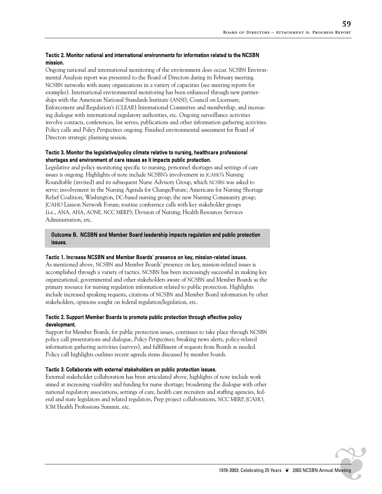#### Tactic 2. Monitor national and international environments for information related to the NCSBN mission.

Ongoing national and international monitoring of the environment does occur. NCSBN Environmental Analysis report was presented to the Board of Directors during its February meeting. NCSBN networks with many organizations in a variety of capacities (see meeting reports for examples). International environmental monitoring has been enhanced through new partnerships with the American National Standards Institute (ANSI), Council on Licensure, Enforcement and Regulation's (CLEAR) International Committee and membership, and increasing dialogue with international regulatory authorities, etc. Ongoing surveillance activities involve contacts, conferences, list serves, publications and other information gathering activities. Policy calls and *Policy Perspectives* ongoing. Finished environmental assessment for Board of Directors strategic planning session.

#### Tactic 3. Monitor the legislative/policy climate relative to nursing, healthcare professional shortages and environment of care issues as it impacts public protection.

Legislative and policy monitoring specific to nursing, personnel shortages and settings of care issues is ongoing. Highlights of note include NCSBN's involvement in JCAHO's Nursing Roundtable (invited) and its subsequent Nurse Advisory Group, which NCSBN was asked to serve; involvement in the Nursing Agenda for Change/Future; Americans for Nursing Shortage Relief Coalition; Washington, DC-based nursing group; the new Nursing Community group; JCAHO Liaison Network Forum; routine conference calls with key stakeholder groups (i.e., ANA, AHA, AONE, NCC MERP); Division of Nursing; Health Resources Services Administration, etc.

#### Outcome B. NCSBN and Member Board leadership impacts regulation and public protection issues.

### Tactic 1. Increase NCSBN and Member Boards' presence on key, mission-related issues.

As mentioned above, NCSBN and Member Boards' presence on key, mission-related issues is accomplished through a variety of tactics. NCSBN has been increasingly successful in making key organizational, governmental and other stakeholders aware of NCSBN and Member Boards as the primary resource for nursing regulation information related to public protection. Highlights include increased speaking requests, citations of NCSBN and Member Board information by other stakeholders, opinions sought on federal regulation/legislation, etc.

#### Tactic 2. Support Member Boards to promote public protection through effective policy development.

Support for Member Boards, for public protection issues, continues to take place through NCSBN policy call presentations and dialogue, *Policy Perspectives*; breaking news alerts, policy-related information gathering activities (surveys), and fulfillment of requests from Boards as needed. Policy call highlights outlines recent agenda items discussed by member boards.

#### Tactic 3. Collaborate with external stakeholders on public protection issues.

External stakeholder collaboration has been articulated above, highlights of note include work aimed at increasing visability and funding for nurse shortage; broadening the dialogue with other national regulatory associations, settings of care, health care recruiters and staffing agencies, federal and state legislators and related regulators, Prep project collaborations, NCC MERP, JCAHO, IOM Health Professions Summit, etc.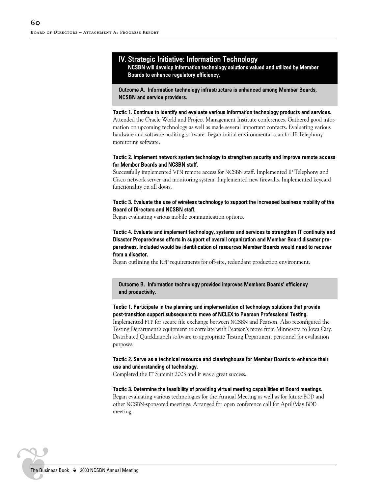### IV. Strategic Initiative: Information Technology

NCSBN will develop information technology solutions valued and utilized by Member Boards to enhance regulatory efficiency.

Outcome A. Information technology infrastructure is enhanced among Member Boards, NCSBN and service providers.

#### Tactic 1. Continue to identify and evaluate various information technology products and services.

Attended the Oracle World and Project Management Institute conferences. Gathered good information on upcoming technology as well as made several important contacts. Evaluating various hardware and software auditing software. Began initial environmental scan for IP Telephony monitoring software.

#### Tactic 2. Implement network system technology to strengthen security and improve remote access for Member Boards and NCSBN staff.

Successfully implemented VPN remote access for NCSBN staff. Implemented IP Telephony and Cisco network server and monitoring system. Implemented new firewalls. Implemented keycard functionality on all doors.

#### Tactic 3. Evaluate the use of wireless technology to support the increased business mobility of the Board of Directors and NCSBN staff.

Began evaluating various mobile communication options.

Tactic 4. Evaluate and implement technology, systems and services to strengthen IT continuity and Disaster Preparedness efforts in support of overall organization and Member Board disaster preparedness. Included would be identification of resources Member Boards would need to recover from a disaster.

Began outlining the RFP requirements for off-site, redundant production environment.

#### Outcome B. Information technology provided improves Members Boards' efficiency and productivity.

#### Tactic 1. Participate in the planning and implementation of technology solutions that provide post-transition support subsequent to move of NCLEX to Pearson Professional Testing.

Implemented FTP for secure file exchange between NCSBN and Pearson. Also reconfigured the Testing Department's equipment to correlate with Pearson's move from Minnesota to Iowa City. Distributed QuickLaunch software to appropriate Testing Department personnel for evaluation purposes.

#### Tactic 2. Serve as a technical resource and clearinghouse for Member Boards to enhance their use and understanding of technology.

Completed the IT Summit 2003 and it was a great success.

#### Tactic 3. Determine the feasibility of providing virtual meeting capabilities at Board meetings.

Began evaluating various technologies for the Annual Meeting as well as for future BOD and other NCSBN-sponsored meetings. Arranged for open conference call for April/May BOD meeting.

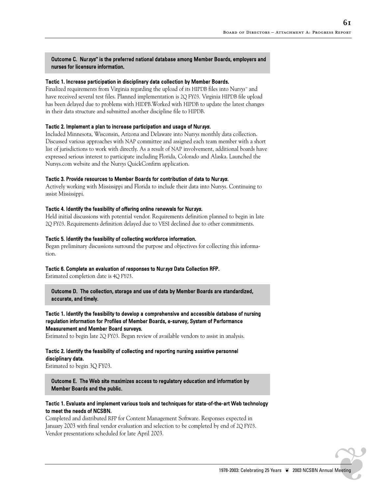Outcome C. Nursys™ is the preferred national database among Member Boards, employers and nurses for licensure information.

#### Tactic 1. Increase participation in disciplinary data collection by Member Boards.

Finalized requirements from Virginia regarding the upload of its HIPDB files into Nur*sys™* and have received several test files. Planned implementation is 2Q FY03. Virginia HIPDB file upload has been delayed due to problems with HIDPB.Worked with HIPDB to update the latest changes in their data structure and submitted another discipline file to HIPDB.

#### Tactic 2. Implement a plan to increase participation and usage of Nursys.

Included Minnesota, Wisconsin, Arizona and Delaware into Nur*sys* monthly data collection. Discussed various approaches with NAP committee and assigned each team member with a short list of jurisdictions to work with directly. As a result of NAP involvement, additional boards have expressed serious interest to participate including Florida, Colorado and Alaska. Launched the Nursys.com website and the Nur*sys* QuickConfirm application.

#### Tactic 3. Provide resources to Member Boards for contribution of data to Nursys.

Actively working with Mississippi and Florida to include their data into Nur*sys*. Continuing to assist Mississippi.

#### Tactic 4. Identify the feasibility of offering online renewals for Nursys.

Held initial discussions with potential vendor. Requirements definition planned to begin in late 2Q FY03. Requirements definition delayed due to VESI declined due to other commitments.

#### Tactic 5. Identify the feasibility of collecting workforce information.

Began preliminary discussions surround the purpose and objectives for collecting this information.

#### Tactic 6. Complete an evaluation of responses to Nursys Data Collection RFP.

Estimated completion date is 4Q FY03.

Outcome D. The collection, storage and use of data by Member Boards are standardized, accurate, and timely.

Tactic 1. Identify the feasibility to develop a comprehensive and accessible database of nursing regulation information for Profiles of Member Boards, e-survey, System of Performance Measurement and Member Board surveys.

Estimated to begin late 2Q FY03. Began review of available vendors to assist in analysis.

#### Tactic 2. Identify the feasibility of collecting and reporting nursing assistive personnel disciplinary data.

Estimated to begin 3Q FY03.

Outcome E. The Web site maximizes access to regulatory education and information by Member Boards and the public.

#### Tactic 1. Evaluate and implement various tools and techniques for state-of-the-art Web technology to meet the needs of NCSBN.

Completed and distributed RFP for Content Management Software. Responses expected in January 2003 with final vendor evaluation and selection to be completed by end of 2Q FY03. Vendor presentations scheduled for late April 2003.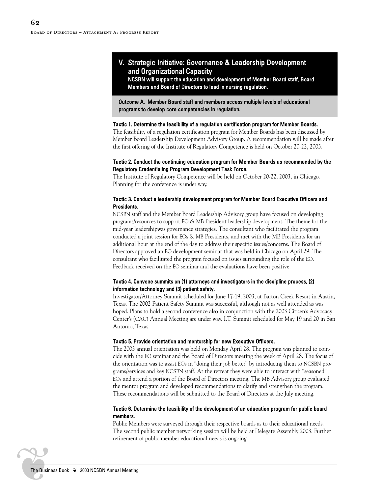# V. Strategic Initiative: Governance & Leadership Development and Organizational Capacity

NCSBN will support the education and development of Member Board staff, Board Members and Board of Directors to lead in nursing regulation.

Outcome A. Member Board staff and members access multiple levels of educational programs to develop core competencies in regulation.

# Tactic 1. Determine the feasibility of a regulation certification program for Member Boards.

The feasibility of a regulation certification program for Member Boards has been discussed by Member Board Leadership Development Advisory Group. A recommendation will be made after the first offering of the Institute of Regulatory Competence is held on October 20-22, 2003.

## Tactic 2. Conduct the continuing education program for Member Boards as recommended by the Regulatory Credentialing Program Development Task Force.

The Institute of Regulatory Competence will be held on October 20-22, 2003, in Chicago. Planning for the conference is under way.

## Tactic 3. Conduct a leadership development program for Member Board Executive Officers and Presidents.

NCSBN staff and the Member Board Leadership Advisory group have focused on developing programs/resources to support EO & MB President leadership development. The theme for the mid-year leadershipwas governance strategies. The consultant who facilitated the program conducted a joint session for EOs & MB Presidents, and met with the MB Presidents for an additional hour at the end of the day to address their specific issues/concerns. The Board of Directors approved an EO development seminar that was held in Chicago on April 29. The consultant who facilitated the program focused on issues surrounding the role of the EO. Feedback received on the EO seminar and the evaluations have been positive.

# Tactic 4. Convene summits on (1) attorneys and investigators in the discipline process, (2) information technology and (3) patient safety.

Investigator/Attorney Summit scheduled for June 17-19, 2003, at Barton Creek Resort in Austin, Texas. The 2002 Patient Safety Summit was successful, although not as well attended as was hoped. Plans to hold a second conference also in conjunction with the 2003 Citizen's Advocacy Center's (CAC) Annual Meeting are under way. I.T. Summit scheduled for May 19 and 20 in San Antonio, Texas.

# Tactic 5. Provide orientation and mentorship for new Executive Officers.

The 2003 annual orientation was held on Monday April 28. The program was planned to coincide with the EO seminar and the Board of Directors meeting the week of April 28. The focus of the orientation was to assist EOs in "doing their job better" by introducing them to NCSBN programs/services and key NCSBN staff. At the retreat they were able to interact with "seasoned" EOs and attend a portion of the Board of Directors meeting. The MB Advisory group evaluated the mentor program and developed recommendations to clarify and strengthen the program. These recommendations will be submitted to the Board of Directors at the July meeting.

# Tactic 6. Determine the feasibility of the development of an education program for public board members.

Public Members were surveyed through their respective boards as to their educational needs. The second public member networking session will be held at Delegate Assembly 2003. Further refinement of public member educational needs is ongoing.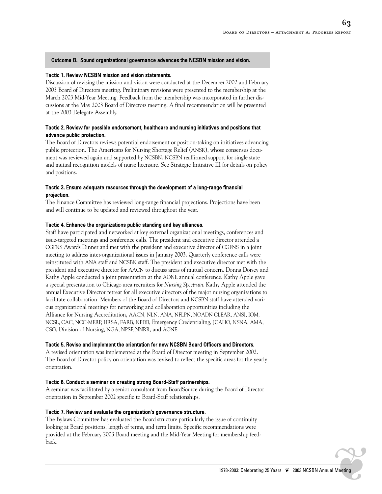#### Outcome B. Sound organizational governance advances the NCSBN mission and vision.

#### Tactic 1. Review NCSBN mission and vision statements.

Discussion of revising the mission and vision were conducted at the December 2002 and February 2003 Board of Directors meeting. Preliminary revisions were presented to the membership at the March 2003 Mid-Year Meeting. Feedback from the membership was incorporated in further discussions at the May 2003 Board of Directors meeting. A final recommendation will be presented at the 2003 Delegate Assembly.

#### Tactic 2. Review for possible endorsement, healthcare and nursing initiatives and positions that advance public protection.

The Board of Directors reviews potential endorsement or position-taking on initiatives advancing public protection. The Americans for Nursing Shortage Relief (ANSR), whose consensus document was reviewed again and supported by NCSBN. NCSBN reaffirmed support for single state and mutual recognition models of nurse licensure. See Strategic Initiative III for details on policy and positions.

#### Tactic 3. Ensure adequate resources through the development of a long-range financial projection.

The Finance Committee has reviewed long-range financial projections. Projections have been and will continue to be updated and reviewed throughout the year.

#### Tactic 4. Enhance the organizations public standing and key alliances.

Staff have participated and networked at key external organizational meetings, conferences and issue-targeted meetings and conference calls. The president and executive director attended a CGFNS Awards Dinner and met with the president and executive director of CGFNS in a joint meeting to address inter-organizational issues in January 2003. Quarterly conference calls were reinstituted with ANA staff and NCSBN staff. The president and executive director met with the president and executive director for AACN to discuss areas of mutual concern. Donna Dorsey and Kathy Apple conducted a joint presentation at the AONE annual conference. Kathy Apple gave a special presentation to Chicago area recruiters for *Nursing Spectrum*. Kathy Apple attended the annual Executive Director retreat for all executive directors of the major nursing organizations to facilitate collaboration. Members of the Board of Directors and NCSBN staff have attended various organizational meetings for networking and collaboration opportunities including the Alliance for Nursing Accreditation, AACN, NLN, ANA, NFLPN, NOADN CLEAR, ANSI, IOM, NCSL, CAC, NCC-MERP, HRSA, FARB, NPDB, Emergency Credentialing, JCAHO, NSNA, AMA, CSG, Division of Nursing, NGA, NPSF, NNRR, and AONE.

#### Tactic 5. Revise and implement the orientation for new NCSBN Board Officers and Directors.

A revised orientation was implemented at the Board of Director meeting in September 2002. The Board of Director policy on orientation was revised to reflect the specific areas for the yearly orientation.

#### Tactic 6. Conduct a seminar on creating strong Board-Staff partnerships.

A seminar was facilitated by a senior consultant from BoardSource during the Board of Director orientation in September 2002 specific to Board-Staff relationships.

#### Tactic 7. Review and evaluate the organization's governance structure.

The Bylaws Committee has evaluated the Board structure particularly the issue of continuity looking at Board positions, length of terms, and term limits. Specific recommendations were provided at the February 2003 Board meeting and the Mid-Year Meeting for membership feedback.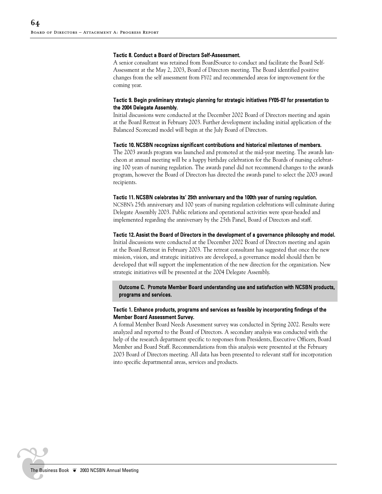#### Tactic 8. Conduct a Board of Directors Self-Assessment.

A senior consultant was retained from BoardSource to conduct and facilitate the Board Self-Assessment at the May 2, 2003, Board of Directors meeting. The Board identified positive changes from the self assessment from FY02 and recommended areas for improvement for the coming year.

#### Tactic 9. Begin preliminary strategic planning for strategic initiatives FY05-07 for presentation to the 2004 Delegate Assembly.

Initial discussions were conducted at the December 2002 Board of Directors meeting and again at the Board Retreat in February 2003. Further development including initial application of the Balanced Scorecard model will begin at the July Board of Directors.

#### Tactic 10. NCSBN recognizes significant contributions and historical milestones of members.

The 2003 awards program was launched and promoted at the mid-year meeting. The awards luncheon at annual meeting will be a happy birthday celebration for the Boards of nursing celebrating 100 years of nursing regulation. The awards panel did not recommend changes to the awards program, however the Board of Directors has directed the awards panel to select the 2003 award recipients.

#### Tactic 11. NCSBN celebrates its' 25th anniversary and the 100th year of nursing regulation.

NCSBN's 25th anniversary and 100 years of nursing regulation celebrations will culminate during Delegate Assembly 2003. Public relations and operational activities were spear-headed and implemented regarding the anniversary by the 25th Panel, Board of Directors and staff.

#### Tactic 12. Assist the Board of Directors in the development of a governance philosophy and model.

Initial discussions were conducted at the December 2002 Board of Directors meeting and again at the Board Retreat in February 2003. The retreat consultant has suggested that once the new mission, vision, and strategic initiatives are developed, a governance model should then be developed that will support the implementation of the new direction for the organization. New strategic initiatives will be presented at the 2004 Delegate Assembly.

Outcome C. Promote Member Board understanding use and satisfaction with NCSBN products, programs and services.

#### Tactic 1. Enhance products, programs and services as feasible by incorporating findings of the Member Board Assessment Survey.

A formal Member Board Needs Assessment survey was conducted in Spring 2002. Results were analyzed and reported to the Board of Directors. A secondary analysis was conducted with the help of the research department specific to responses from Presidents, Executive Officers, Board Member and Board Staff. Recommendations from this analysis were presented at the February 2003 Board of Directors meeting. All data has been presented to relevant staff for incorporation into specific departmental areas, services and products.

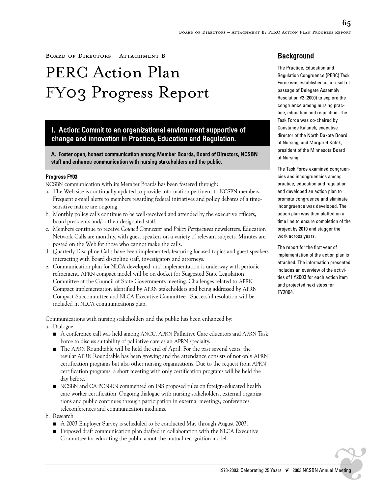BOARD OF DIRECTORS - ATTACHMENT B

# PERC Action Plan FY03 Progress Report

# I. Action: Commit to an organizational environment supportive of change and innovation in Practice, Education and Regulation.

A. Foster open, honest communication among Member Boards, Board of Directors, NCSBN staff and enhance communication with nursing stakeholders and the public.

#### Progress FY03

NCSBN communication with its Member Boards has been fostered through:

- a. The Web site is continually updated to provide information pertinent to NCSBN members. Frequent e-mail alerts to members regarding federal initiatives and policy debates of a timesensitive nature are ongoing.
- b. Monthly policy calls continue to be well-received and attended by the executive officers, board presidents and/or their designated staff.
- c. Members continue to receive *Council Connector* and *Policy Perspectives* newsletters. Education Network Calls are monthly, with guest speakers on a variety of relevant subjects. Minutes are posted on the Web for those who cannot make the calls.
- d. Quarterly Discipline Calls have been implemented, featuring focused topics and guest speakers interacting with Board discipline staff, investigators and attorneys.
- e. Communication plan for NLCA developed, and implementation is underway with periodic refinement. APRN compact model will be on docket for Suggested State Legislation Committee at the Council of State Governments meeting. Challenges related to APRN Compact implementation identified by APRN stakeholders and being addressed by APRN Compact Subcommittee and NLCA Executive Committee. Successful resolution will be included in NLCA communications plan.

Communications with nursing stakeholders and the public has been enhanced by:

- a. Dialogue
	- A conference call was held among ANCC, APRN Palliative Care educators and APRN Task Force to discuss suitability of palliative care as an APRN specialty.
	- The APRN Roundtable will be held the end of April. For the past several years, the regular APRN Roundtable has been growing and the attendance consists of not only APRN certification programs but also other nursing organizations. Due to the request from APRN certification programs, a short meeting with only certification programs will be held the day before.
	- NCSBN and CA BON-RN commented on INS proposed rules on foreign-educated health care worker certification. Ongoing dialogue with nursing stakeholders, external organizations and public continues through participation in external meetings, conferences, teleconferences and communication mediums.

b. Research

- A 2003 Employer Survey is scheduled to be conducted May through August 2003.
- Proposed draft communication plan drafted in collaboration with the NLCA Executive Committee for educating the public about the mutual recognition model.

# **Background**

The Practice, Education and Regulation Congruence (PERC) Task Force was established as a result of passage of Delegate Assembly Resolution #2 (2000) to explore the congruence among nursing practice, education and regulation. The Task Force was co-chaired by Constance Kalanek, executive director of the North Dakota Board of Nursing, and Margaret Kotek, president of the Minnesota Board of Nursing.

**65**

The Task Force examined congruencies and incongruencies among practice, education and regulation and developed an action plan to promote congruence and eliminate incongruence was developed. The action plan was then plotted on a time line to ensure completion of the project by 2010 and stagger the work across years.

The report for the first year of implementation of the action plan is attached. The information presented includes an overview of the activities of FY2003 for each action item and projected next steps for FY2004.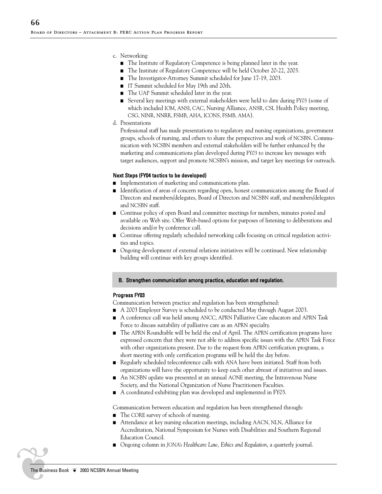- c. Networking
	- The Institute of Regulatory Competence is being planned later in the year.
- The Institute of Regulatory Competence will be held October 20-22, 2003.
- The Investigator-Attorney Summit scheduled for June 17-19, 2003.
- IT Summit scheduled for May 19th and 20th.
- The UAP Summit scheduled later in the year.
- Several key meetings with external stakeholders were held to date during FY03 (some of which included IOM, ANSI, CAC, Nursing Alliance, ANSR, CSL Health Policy meeting, CSG, NINR, NNRR, FSMB, AHA, ICONS, FSMB, AMA).
- d. Presentations

Professional staff has made presentations to regulatory and nursing organizations, government groups, schools of nursing, and others to share the perspectives and work of NCSBN. Communication with NCSBN members and external stakeholders will be further enhanced by the marketing and communications plan developed during FY03 to increase key messages with target audiences, support and promote NCSBN's mission, and target key meetings for outreach.

#### Next Steps (FY04 tactics to be developed)

- Implementation of marketing and communications plan.
- Identification of areas of concern regarding open, honest communication among the Board of Directors and members/delegates, Board of Directors and NCSBN staff, and members/delegates and NCSBN staff.
- Continue policy of open Board and committee meetings for members, minutes posted and available on Web site. Offer Web-based options for purposes of listening to deliberations and decisions and/or by conference call.
- Continue offering regularly scheduled networking calls focusing on critical regulation activities and topics.
- Ongoing development of external relations initiatives will be continued. New relationship building will continue with key groups identified.

#### B. Strengthen communication among practice, education and regulation.

#### Progress FY03

Communication between practice and regulation has been strengthened:

- A 2003 Employer Survey is scheduled to be conducted May through August 2003.
- A conference call was held among ANCC, APRN Palliative Care educators and APRN Task Force to discuss suitability of palliative care as an APRN specialty.
- The APRN Roundtable will be held the end of April. The APRN certification programs have expressed concern that they were not able to address specific issues with the APRN Task Force with other organizations present. Due to the request from APRN certification programs, a short meeting with only certification programs will be held the day before.
- Regularly scheduled teleconference calls with ANA have been initiated. Staff from both organizations will have the opportunity to keep each other abreast of initiatives and issues.
- An NCSBN update was presented at an annual AONE meeting, the Intravenous Nurse Society, and the National Organization of Nurse Practitioners Faculties.
- A coordinated exhibiting plan was developed and implemented in FY03.

Communication between education and regulation has been strengthened through:

- The CORE survey of schools of nursing.
- Attendance at key nursing education meetings, including AACN, NLN, Alliance for Accreditation, National Symposium for Nurses with Disabilities and Southern Regional Education Council.
- Ongoing column in *JONA's Healthcare Law, Ethics and Regulation*, a quarterly journal.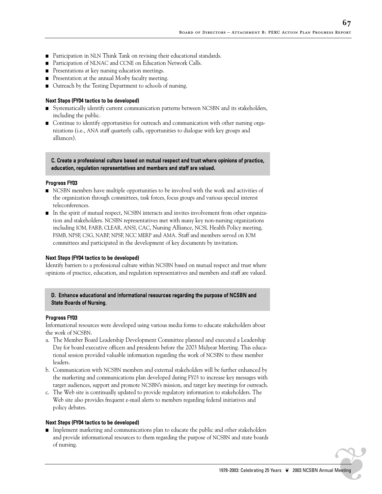- Participation in NLN Think Tank on revising their educational standards.
- Participation of NLNAC and CCNE on Education Network Calls.
- Presentations at key nursing education meetings.
- Presentation at the annual Mosby faculty meeting.
- Outreach by the Testing Department to schools of nursing.

#### Next Steps (FY04 tactics to be developed)

- Systematically identify current communication patterns between NCSBN and its stakeholders, including the public.
- Continue to identify opportunities for outreach and communication with other nursing organizations (i.e., ANA staff quarterly calls, opportunities to dialogue with key groups and alliances).

C. Create a professional culture based on mutual respect and trust where opinions of practice, education, regulation representatives and members and staff are valued.

#### Progress FY03

- NCSBN members have multiple opportunities to be involved with the work and activities of the organization through committees, task forces, focus groups and various special interest teleconferences.
- In the spirit of mutual respect, NCSBN interacts and invites involvement from other organization and stakeholders. NCSBN representatives met with many key non-nursing organizations including IOM, FARB, CLEAR, ANSI, CAC, Nursing Alliance, NCSL Health Policy meeting, FSMB, NPSF, CSG, NABP, NPSF, NCC MERP and AMA. Staff and members served on IOM committees and participated in the development of key documents by invitation.

#### Next Steps (FY04 tactics to be developed)

Identify barriers to a professional culture within NCSBN based on mutual respect and trust where opinions of practice, education, and regulation representatives and members and staff are valued.

#### D. Enhance educational and informational resources regarding the purpose of NCSBN and State Boards of Nursing.

#### Progress FY03

Informational resources were developed using various media forms to educate stakeholders about the work of NCSBN.

- a. The Member Board Leadership Development Committee planned and executed a Leadership Day for board executive officers and presidents before the 2003 Midyear Meeting. This educational session provided valuable information regarding the work of NCSBN to these member leaders.
- b. Communication with NCSBN members and external stakeholders will be further enhanced by the marketing and communications plan developed during FY03 to increase key messages with target audiences, support and promote NCSBN's mission, and target key meetings for outreach.
- c. The Web site is continually updated to provide regulatory information to stakeholders. The Web site also provides frequent e-mail alerts to members regarding federal initiatives and policy debates.

#### Next Steps (FY04 tactics to be developed)

■ Implement marketing and communications plan to educate the public and other stakeholders and provide informational resources to them regarding the purpose of NCSBN and state boards of nursing.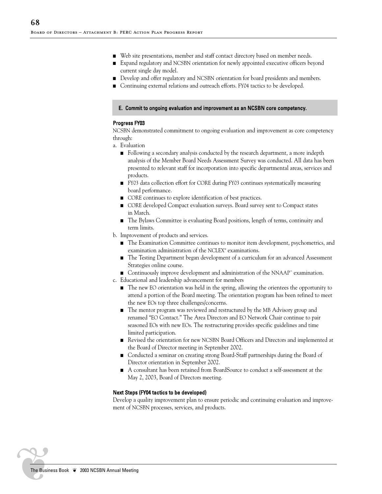- Web site presentations, member and staff contact directory based on member needs.
- Expand regulatory and NCSBN orientation for newly appointed executive officers beyond current single day model.
- Develop and offer regulatory and NCSBN orientation for board presidents and members.
- Continuing external relations and outreach efforts. FY04 tactics to be developed.

#### E. Commit to ongoing evaluation and improvement as an NCSBN core competency.

#### Progress FY03

NCSBN demonstrated commitment to ongoing evaluation and improvement as core competency through:

- a. Evaluation
	- Following a secondary analysis conducted by the research department, a more indepth analysis of the Member Board Needs Assessment Survey was conducted. All data has been presented to relevant staff for incorporation into specific departmental areas, services and products.
	- FY03 data collection effort for CORE during FY03 continues systematically measuring board performance.
	- CORE continues to explore identification of best practices.
	- CORE developed Compact evaluation surveys. Board survey sent to Compact states in March.
	- The Bylaws Committee is evaluating Board positions, length of terms, continuity and term limits.
- b. Improvement of products and services.
	- The Examination Committee continues to monitor item development, psychometrics, and examination administration of the NCLEX® examinations.
	- The Testing Department began development of a curriculum for an advanced Assessment Strategies online course.
	- Continuously improve development and administration of the NNAAP<sup>™</sup> examination.
- c. Educational and leadership advancement for members
	- The new EO orientation was held in the spring, allowing the orientees the opportunity to attend a portion of the Board meeting. The orientation program has been refined to meet the new EOs top three challenges/concerns.
	- The mentor program was reviewed and restructured by the MB Advisory group and renamed "EO Contact." The Area Directors and EO Network Chair continue to pair seasoned EOs with new EOs. The restructuring provides specific guidelines and time limited participation.
	- Revised the orientation for new NCSBN Board Officers and Directors and implemented at the Board of Director meeting in September 2002.
	- Conducted a seminar on creating strong Board-Staff partnerships during the Board of Director orientation in September 2002.
	- A consultant has been retained from BoardSource to conduct a self-assessment at the May 2, 2003, Board of Directors meeting.

#### Next Steps (FY04 tactics to be developed)

Develop a quality improvement plan to ensure periodic and continuing evaluation and improvement of NCSBN processes, services, and products.

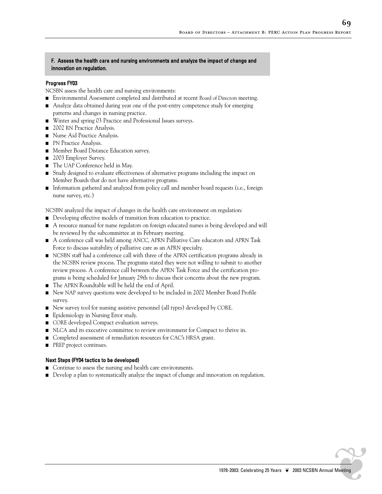**69**

#### F. Assess the health care and nursing environments and analyze the impact of change and innovation on regulation.

## Progress FY03

NCSBN assess the health care and nursing environments:

- Environmental Assessment completed and distributed at recent Board of Directors meeting.
- Analyze data obtained during year one of the post-entry competence study for emerging patterns and changes in nursing practice.
- Winter and spring 03 Practice and Professional Issues surveys.
- 2002 RN Practice Analysis.
- Nurse Aid Practice Analysis.
- PN Practice Analysis.
- Member Board Distance Education survey.
- 2003 Employer Survey.
- The UAP Conference held in May.
- Study designed to evaluate effectiveness of alternative programs including the impact on Member Boards that do not have alternative programs.
- Information gathered and analyzed from policy call and member board requests (i.e., foreign nurse survey, etc.)

NCSBN analyzed the impact of changes in the health care environment on regulation:

- Developing effective models of transition from education to practice.
- A resource manual for nurse regulators on foreign educated nurses is being developed and will be reviewed by the subcommittee at its February meeting.
- A conference call was held among ANCC, APRN Palliative Care educators and APRN Task Force to discuss suitability of palliative care as an APRN specialty.
- NCSBN staff had a conference call with three of the APRN certification programs already in the NCSBN review process. The programs stated they were not willing to submit to another review process. A conference call between the APRN Task Force and the certification programs is being scheduled for January 29th to discuss their concerns about the new program.
- The APRN Roundtable will be held the end of April.
- New NAP survey questions were developed to be included in 2002 Member Board Profile survey.
- New survey tool for nursing assistive personnel (all types) developed by CORE.
- Epidemiology in Nursing Error study.
- CORE developed Compact evaluation surveys.
- NLCA and its executive committee to review environment for Compact to thrive in.
- Completed assessment of remediation resources for CAC's HRSA grant.
- PREP project continues.

### Next Steps (FY04 tactics to be developed)

- Continue to assess the nursing and health care environments.
- Develop a plan to systematically analyze the impact of change and innovation on regulation.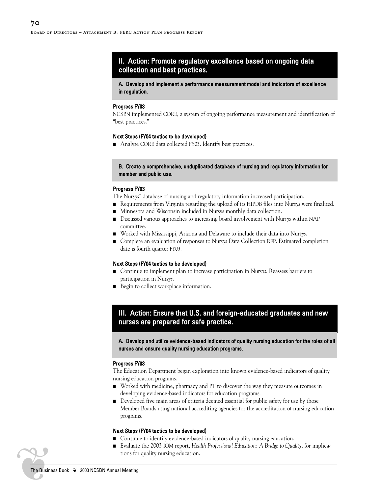# II. Action: Promote regulatory excellence based on ongoing data collection and best practices..

A. Develop and implement a performance measurement model and indicators of excellence in regulation.

#### Progress FY03

NCSBN implemented CORE, a system of ongoing performance measurement and identification of "best practices."

#### Next Steps (FY04 tactics to be developed)

■ Analyze CORE data collected FY03. Identify best practices.

#### B. Create a comprehensive, unduplicated database of nursing and regulatory information for member and public use.

#### Progress FY03

The Nur*sys*™ database of nursing and regulatory information increased participation.

- Requirements from Virginia regarding the upload of its HIPDB files into Nursys were finalized.
- Minnesota and Wisconsin included in Nursys monthly data collection.
- Discussed various approaches to increasing board involvement with Nursys within NAP committee.
- Worked with Mississippi, Arizona and Delaware to include their data into Nursys.
- Complete an evaluation of responses to Nursys Data Collection RFP. Estimated completion date is fourth quarter FY03.

#### Next Steps (FY04 tactics to be developed)

- Continue to implement plan to increase participation in Nursys. Reassess barriers to participation in Nur*sys*.
- Begin to collect workplace information.

# III. Action: Ensure that U.S. and foreign-educated graduates and new nurses are prepared for safe practice.

#### A. Develop and utilize evidence-based indicators of quality nursing education for the roles of all nurses and ensure quality nursing education programs.

#### Progress FY03

The Education Department began exploration into known evidence-based indicators of quality nursing education programs.

- Worked with medicine, pharmacy and PT to discover the way they measure outcomes in developing evidence-based indicators for education programs.
- Developed five main areas of criteria deemed essential for public safety for use by those Member Boards using national accrediting agencies for the accreditation of nursing education programs.

#### Next Steps (FY04 tactics to be developed)

- Continue to identify evidence-based indicators of quality nursing education.
- Evaluate the 2003 IOM report, *Health Professional Education: A Bridge to Quality*, for implications for quality nursing education.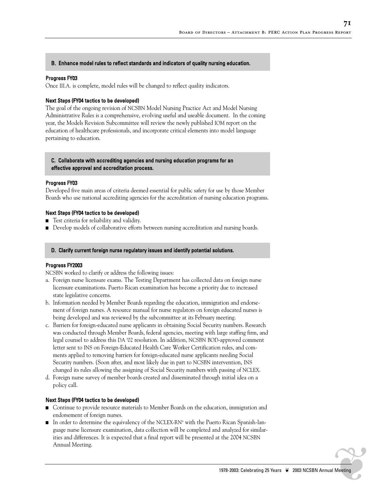**71**

#### B. Enhance model rules to reflect standards and indicators of quality nursing education.

#### Progress FY03

Once III.A. is complete, model rules will be changed to reflect quality indicators.

#### Next Steps (FY04 tactics to be developed)

The goal of the ongoing revision of NCSBN Model Nursing Practice Act and Model Nursing Administrative Rules is a comprehensive, evolving useful and useable document. In the coming year, the Models Revision Subcommittee will review the newly published IOM report on the education of healthcare professionals, and incorporate critical elements into model language pertaining to education.

#### C. Collaborate with accrediting agencies and nursing education programs for an effective approval and accreditation process.

#### Progress FY03

Developed five main areas of criteria deemed essential for public safety for use by those Member Boards who use national accrediting agencies for the accreditation of nursing education programs.

#### Next Steps (FY04 tactics to be developed)

- Test criteria for reliability and validity.
- Develop models of collaborative efforts between nursing accreditation and nursing boards.

#### D. Clarify current foreign nurse regulatory issues and identify potential solutions.

#### Progress FY2003

NCSBN worked to clarify or address the following issues:

- a. Foreign nurse licensure exams. The Testing Department has collected data on foreign nurse licensure examinations. Puerto Rican examination has become a priority due to increased state legislative concerns.
- b. Information needed by Member Boards regarding the education, immigration and endorsement of foreign nurses. A resource manual for nurse regulators on foreign educated nurses is being developed and was reviewed by the subcommittee at its February meeting.
- c. Barriers for foreign-educated nurse applicants in obtaining Social Security numbers. Research was conducted through Member Boards, federal agencies, meeting with large staffing firm, and legal counsel to address this DA '02 resolution. In addition, NCSBN BOD-approved comment letter sent to INS on Foreign-Educated Health Care Worker Certification rules, and comments applied to removing barriers for foreign-educated nurse applicants needing Social Security numbers. (Soon after, and most likely due in part to NCSBN intervention, INS changed its rules allowing the assigning of Social Security numbers with passing of NCLEX.
- d. Foreign nurse survey of member boards created and disseminated through initial idea on a policy call.

#### Next Steps (FY04 tactics to be developed)

- Continue to provide resource materials to Member Boards on the education, immigration and endorsement of foreign nurses.
- In order to determine the equivalency of the NCLEX-RN® with the Puerto Rican Spanish-language nurse licensure examination, data collection will be completed and analyzed for similarities and differences. It is expected that a final report will be presented at the 2004 NCSBN Annual Meeting.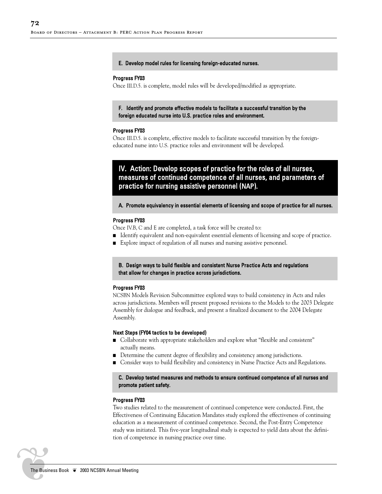#### E. Develop model rules for licensing foreign-educated nurses.

#### Progress FY03

Once III.D.5. is complete, model rules will be developed/modified as appropriate.

F. Identify and promote effective models to facilitate a successful transition by the foreign educated nurse into U.S. practice roles and environment.

#### Progress FY03

Once III.D.5. is complete, effective models to facilitate successful transition by the foreigneducated nurse into U.S. practice roles and environment will be developed.

# IV. Action: Develop scopes of practice for the roles of all nurses, measures of continued competence of all nurses, and parameters of practice for nursing assistive personnel (NAP).

A. Promote equivalency in essential elements of licensing and scope of practice for all nurses.

#### Progress FY03

Once IV.B, C and E are completed, a task force will be created to:

- Identify equivalent and non-equivalent essential elements of licensing and scope of practice.
- Explore impact of regulation of all nurses and nursing assistive personnel.

## B. Design ways to build flexible and consistent Nurse Practice Acts and regulations that allow for changes in practice across jurisdictions.

#### Progress FY03

NCSBN Models Revision Subcommittee explored ways to build consistency in Acts and rules across jurisdictions. Members will present proposed revisions to the Models to the 2003 Delegate Assembly for dialogue and feedback, and present a finalized document to the 2004 Delegate Assembly.

#### Next Steps (FY04 tactics to be developed)

- Collaborate with appropriate stakeholders and explore what "flexible and consistent" actually means.
- Determine the current degree of flexibility and consistency among jurisdictions.
- Consider ways to build flexibility and consistency in Nurse Practice Acts and Regulations.

## C. Develop tested measures and methods to ensure continued competence of all nurses and promote patient safety.

#### Progress FY03

Two studies related to the measurement of continued competence were conducted. First, the Effectiveness of Continuing Education Mandates study explored the effectiveness of continuing education as a measurement of continued competence. Second, the Post-Entry Competence study was initiated. This five-year longitudinal study is expected to yield data about the definition of competence in nursing practice over time.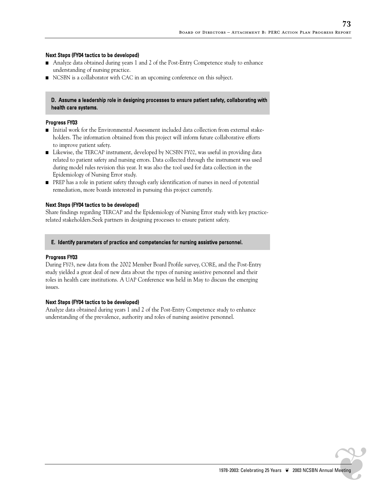# Next Steps (FY04 tactics to be developed)

- Analyze data obtained during years 1 and 2 of the Post-Entry Competence study to enhance understanding of nursing practice.
- NCSBN is a collaborator with CAC in an upcoming conference on this subject.

# D. Assume a leadership role in designing processes to ensure patient safety, collaborating with health care systems.

# Progress FY03

- Initial work for the Environmental Assessment included data collection from external stakeholders. The information obtained from this project will inform future collaborative efforts to improve patient safety.
- Likewise, the TERCAP instrument, developed by NCSBN FY02, was useful in providing data related to patient safety and nursing errors. Data collected through the instrument was used during model rules revision this year. It was also the tool used for data collection in the Epidemiology of Nursing Error study.
- PREP has a role in patient safety through early identification of nurses in need of potential remediation, more boards interested in pursuing this project currently.

# Next Steps (FY04 tactics to be developed)

Share findings regarding TERCAP and the Epidemiology of Nursing Error study with key practicerelated stakeholders.Seek partners in designing processes to ensure patient safety.

# E. Identify parameters of practice and competencies for nursing assistive personnel.

# Progress FY03

During FY03, new data from the 2002 Member Board Profile survey, CORE, and the Post-Entry study yielded a great deal of new data about the types of nursing assistive personnel and their roles in health care institutions. A UAP Conference was held in May to discuss the emerging issues.

# Next Steps (FY04 tactics to be developed)

Analyze data obtained during years 1 and 2 of the Post-Entry Competence study to enhance understanding of the prevalence, authority and roles of nursing assistive personnel.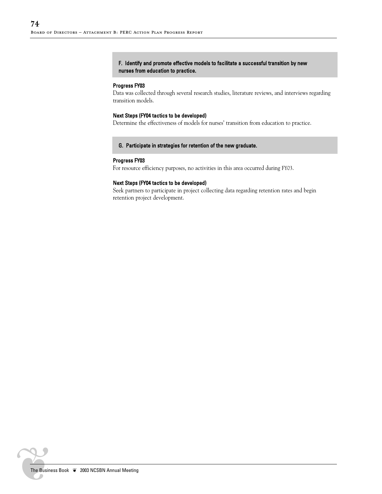# F. Identify and promote effective models to facilitate a successful transition by new nurses from education to practice.

#### Progress FY03

Data was collected through several research studies, literature reviews, and interviews regarding transition models.

#### Next Steps (FY04 tactics to be developed)

Determine the effectiveness of models for nurses' transition from education to practice.

## G. Participate in strategies for retention of the new graduate.

#### Progress FY03

For resource efficiency purposes, no activities in this area occurred during FY03.

# Next Steps (FY04 tactics to be developed)

Seek partners to participate in project collecting data regarding retention rates and begin retention project development.

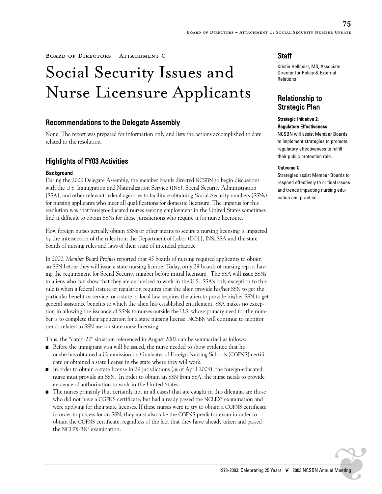BOARD OF DIRECTORS - ATTACHMENT C

# Social Security Issues and Nurse Licensure Applicants

# Recommendations to the Delegate Assembly

None. The report was prepared for information only and lists the actions accomplished to date related to the resolution.

# Highlights of FY03 Activities

# **Background**

During the 2002 Delegate Assembly, the member boards directed NCSBN to begin discussions with the U.S. Immigration and Naturalization Service (INS), Social Security Administration (SSA), and other relevant federal agencies to facilitate obtaining Social Security numbers (SSNs) for nursing applicants who meet all qualifications for domestic licensure. The impetus for this resolution was that foreign-educated nurses seeking employment in the United States sometimes find it difficult to obtain SSNs for those jurisdictions who require it for nurse licensure.

How foreign nurses actually obtain SSNs or other means to secure a nursing licensing is impacted by the intersection of the rules from the Department of Labor (DOL), INS, SSA and the state boards of nursing rules and laws of their state of intended practice

In 2000, *Member Board Profiles* reported that 45 boards of nursing required applicants to obtain an SSN before they will issue a state nursing license. Today, only 29 boards of nursing report having the requirement for Social Security number before initial licensure. The SSA will issue SSNs to aliens who can show that they are authorized to work in the U.S. SSA's only exception to this rule is when a federal statute or regulation requires that the alien provide his/her SSN to get the particular benefit or service; or a state or local law requires the alien to provide his/her SSN to get general assistance benefits to which the alien has established entitlement. SSA makes no exception in allowing the issuance of SSNs to nurses outside the U.S. whose primary need for the number is to complete their application for a state nursing license. NCSBN will continue to monitor trends related to SSN use for state nurse licensing.

Thus, the "catch-22" situation referenced in August 2002 can be summarized as follows:

- Before the immigrant visa will be issued, the nurse needed to show evidence that he or she has obtained a Commission on Graduates of Foreign Nursing Schools (CGFNS) certificate or obtained a state license in the state where they will work.
- In order to obtain a state license in 29 jurisdictions (as of April 2003), the foreign-educated nurse must provide an SSN. In order to obtain an SSN from SSA, the nurse needs to provide evidence of authorization to work in the United States.
- The nurses primarily (but certainly not in all cases) that are caught in this dilemma are those who did not have a CGFNS certificate, but had already passed the NCLEX® examination and were applying for their state licenses. If these nurses were to try to obtain a CGFNS certificate in order to process for an SSN, they must also take the CGFNS predictor exam in order to obtain the CGFNS certificate, regardless of the fact that they have already taken and passed the NCLEX-RN® examination.

# **Staff**

Kristin Hellquist, MS, Associate Director for Policy & External Relations

# Relationship to Strategic Plan

#### Strategic Initiative 2: Regulatory Effectiveness

NCSBN will assist Member Boards to implement strategies to promote regulatory effectiveness to fulfill their public protection role.

## Outcome C

Strategies assist Member Boards to respond effectively to critical issues and trends impacting nursing education and practice.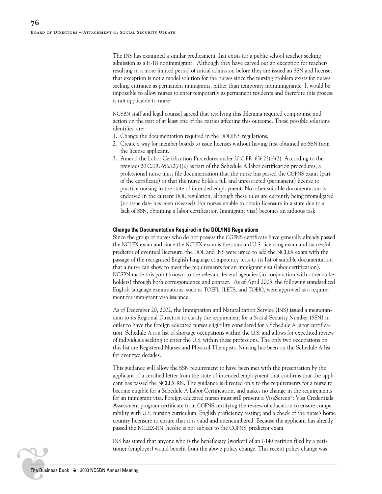The INS has examined a similar predicament that exists for a public school teacher seeking admission as a H-1B nonimmigrant. Although they have carved out an exception for teachers resulting in a more limited period of initial admission before they are issued an SSN and license, that exception is not a model solution for the nurses since the nursing problem exists for nurses seeking entrance as permanent immigrants, rather than temporary nonimmigrants. It would be impossible to allow nurses to enter temporarily as permanent residents and therefore this process is not applicable to nurse.

NCSBN staff and legal counsel agreed that resolving this dilemma required compromise and action on the part of at least one of the parties affecting this outcome. Those possible solutions identified are:

- 1. Change the documentation required in the DOL/INS regulations.
- 2. Create a way for member boards to issue licenses without having first obtained an SSN from the license applicant.
- 3. Amend the Labor Certification Procedures under 20 C.F.R. 656.22(c)(2). According to the previous 20 C.F.R.  $656.22(c)(2)$  as part of the Schedule A labor certification procedures, a professional nurse must file documentation that the nurse has passed the CGFNS exam (part of the certificate) or that the nurse holds a full and unrestricted (permanent) license to practice nursing in the state of intended employment. No other suitable documentation is endorsed in the current DOL regulation, although these rules are currently being promulgated (no issue date has been released). For nurses unable to obtain licensure in a state due to a lack of SSN, obtaining a labor certification (immigrant visa) becomes an arduous task.

#### Change the Documentation Required in the DOL/INS Regulations

Since the group of nurses who do not possess the CGFNS certificate have generally already passed the NCLEX exam and since the NCLEX exam is the standard U.S. licensing exam and successful predictor of eventual licensure, the DOL and INS were urged to add the NCLEX exam with the passage of the recognized English language competency tests to its list of suitable documentation that a nurse can show to meet the requirements for an immigrant visa (labor certification). NCSBN made this point known to the relevant federal agencies (in conjunction with other stakeholders) through both correspondence and contact. As of April 2003, the following standardized English language examinations, such as TOEFL, ILETS, and TOEIC, were approved as a requirement for immigrant visa issuance.

As of December 20, 2002, the Immigration and Naturalization Service (INS) issued a memorandum to its Regional Directors to clarify the requirement for a Social Security Number (SSN) in order to have the foreign educated nurses eligibility considered for a Schedule A labor certification. Schedule A is a list of shortage occupations within the U.S. and allows for expedited review of individuals seeking to enter the U.S. within these professions. The only two occupations on this list are Registered Nurses and Physical Therapists. Nursing has been on the Schedule A list for over two decades.

This guidance will allow the SSN requirement to have been met with the presentation by the applicant of a certified letter from the state of intended employment that confirms that the applicant has passed the NCLEX-RN. The guidance is directed only to the requirements for a nurse to become eligible for a Schedule A Labor Certification, and makes no change in the requirements for an immigrant visa. Foreign educated nurses must still present a VisaScreen™: Visa Credentials Assessment program certificate from CGFNS certifying the review of education to ensure comparability with U.S. nursing curriculum; English proficiency testing; and a check of the nurse's home country licensure to ensure that it is valid and unencumbered. Because the applicant has already passed the NCLEX-RN, he/she is not subject to the CGFNS' predictor exam.

INS has stated that anyone who is the beneficiary (worker) of an I-140 petition filed by a petitioner (employer) would benefit from the above policy change. This recent policy change was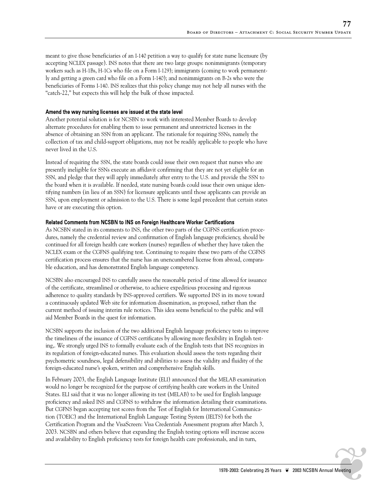meant to give those beneficiaries of an I-140 petition a way to qualify for state nurse licensure (by accepting NCLEX passage). INS notes that there are two large groups: nonimmigrants (temporary workers such as H-1Bs, H-1Cs who file on a Form I-129); immigrants (coming to work permanently and getting a green card who file on a Form I-140); and nonimmigrants on B-2s who were the beneficiaries of Forms I-140. INS realizes that this policy change may not help all nurses with the "catch-22," but expects this will help the bulk of those impacted.

# Amend the way nursing licenses are issued at the state level

Another potential solution is for NCSBN to work with interested Member Boards to develop alternate procedures for enabling them to issue permanent and unrestricted licenses in the absence of obtaining an SSN from an applicant. The rationale for requiring SSNs, namely the collection of tax and child-support obligations, may not be readily applicable to people who have never lived in the U.S.

Instead of requiring the SSN, the state boards could issue their own request that nurses who are presently ineligible for SSNs execute an affidavit confirming that they are not yet eligible for an SSN, and pledge that they will apply immediately after entry to the U.S. and provide the SSN to the board when it is available. If needed, state nursing boards could issue their own unique identifying numbers (in lieu of an SSN) for licensure applicants until those applicants can provide an SSN, upon employment or admission to the U.S. There is some legal precedent that certain states have or are executing this option.

# Related Comments from NCSBN to INS on Foreign Healthcare Worker Certifications

As NCSBN stated in its comments to INS, the other two parts of the CGFNS certification procedures, namely the credential review and confirmation of English language proficiency, should be continued for all foreign health care workers (nurses) regardless of whether they have taken the NCLEX exam or the CGFNS qualifying test. Continuing to require these two parts of the CGFNS certification process ensures that the nurse has an unencumbered license from abroad, comparable education, and has demonstrated English language competency.

NCSBN also encouraged INS to carefully assess the reasonable period of time allowed for issuance of the certificate, streamlined or otherwise, to achieve expeditious processing and rigorous adherence to quality standards by INS-approved certifiers. We supported INS in its move toward a continuously updated Web site for information dissemination, as proposed, rather than the current method of issuing interim rule notices. This idea seems beneficial to the public and will aid Member Boards in the quest for information.

NCSBN supports the inclusion of the two additional English language proficiency tests to improve the timeliness of the issuance of CGFNS certificates by allowing more flexibility in English testing,. We strongly urged INS to formally evaluate each of the English tests that INS recognizes in its regulation of foreign-educated nurses. This evaluation should assess the tests regarding their psychometric soundness, legal defensibility and abilities to assess the validity and fluidity of the foreign-educated nurse's spoken, written and comprehensive English skills.

In February 2003, the English Language Institute (ELI) announced that the MELAB examination would no longer be recognized for the purpose of certifying health care workers in the United States. ELI said that it was no longer allowing its test (MELAB) to be used for English language proficiency and asked INS and CGFNS to withdraw the information detailing their examinations. But CGFNS began accepting test scores from the Test of English for International Communication (TOEIC) and the International English Language Testing System (IELTS) for both the Certification Program and the VisaScreen: Visa Credentials Assessment program after March 3, 2003. NCSBN and others believe that expanding the English testing options will increase access and availability to English proficiency tests for foreign health care professionals, and in turn,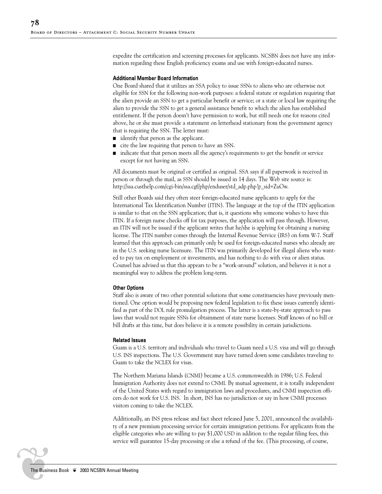expedite the certification and screening processes for applicants. NCSBN does not have any information regarding these English proficiency exams and use with foreign-educated nurses.

#### Additional Member Board Information

One Board shared that it utilizes an SSA policy to issue SSNs to aliens who are otherwise not eligible for SSN for the following non-work purposes: a federal statute or regulation requiring that the alien provide an SSN to get a particular benefit or service; or a state or local law requiring the alien to provide the SSN to get a general assistance benefit to which the alien has established entitlement. If the person doesn't have permission to work, but still needs one for reasons cited above, he or she must provide a statement on letterhead stationary from the government agency that is requiring the SSN. The letter must:

- identify that person as the applicant.
- cite the law requiring that person to have an SSN.
- indicate that that person meets all the agency's requirements to get the benefit or service except for not having an SSN.

All documents must be original or certified as original. SSA says if all paperwork is received in person or through the mail, as SSN should be issued in 14 days. The Web site source is: http://ssa.custhelp.com/cgi-bin/ssa.cgf/php/enduser/std\_adp.php?p\_sid=ZuOw.

Still other Boards said they often steer foreign-educated nurse applicants to apply for the International Tax Identification Number (ITIN). The language at the top of the ITIN application is similar to that on the SSN application; that is, it questions why someone wishes to have this ITIN. If a foreign nurse checks off for tax purposes, the application will pass through. However, an ITIN will not be issued if the applicant writes that he/she is applying for obtaining a nursing license. The ITIN number comes through the Internal Revenue Service (IRS) on form W-7. Staff learned that this approach can primarily only be used for foreign-educated nurses who already are in the U.S. seeking nurse licensure. The ITIN was primarily developed for illegal aliens who wanted to pay tax on employment or investments, and has nothing to do with visa or alien status. Counsel has advised us that this appears to be a "work-around" solution, and believes it is not a meaningful way to address the problem long-term.

#### Other Options

Staff also is aware of two other potential solutions that some constituencies have previously mentioned. One option would be proposing new federal legislation to fix these issues currently identified as part of the DOL rule promulgation process. The latter is a state-by-state approach to pass laws that would not require SSNs for obtainment of state nurse licenses. Staff knows of no bill or bill drafts at this time, but does believe it is a remote possibility in certain jurisdictions.

#### Related Issues

Guam is a U.S. territory and individuals who travel to Guam need a U.S. visa and will go through U.S. INS inspections. The U.S. Government may have turned down some candidates traveling to Guam to take the NCLEX for visas.

The Northern Mariana Islands (CNMI) became a U.S. commonwealth in 1986; U.S. Federal Immigration Authority does not extend to CNMI. By mutual agreement, it is totally independent of the United States with regard to immigration laws and procedures, and CNMI inspection officers do not work for U.S. INS. In short, INS has no jurisdiction or say in how CNMI processes visitors coming to take the NCLEX.

Additionally, an INS press release and fact sheet released June 5, 2001, announced the availability of a new premium processing service for certain immigration petitions. For applicants from the eligible categories who are willing to pay \$1,000 USD in addition to the regular filing fees, this service will guarantee 15-day processing or else a refund of the fee. (This processing, of course,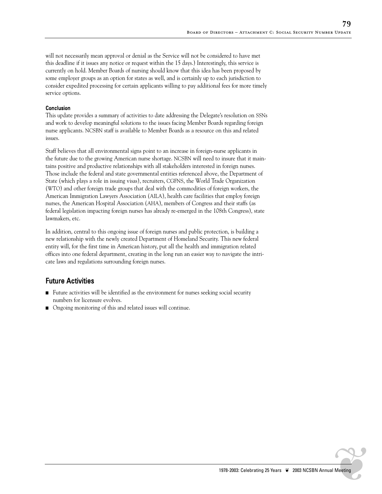will not necessarily mean approval or denial as the Service will not be considered to have met this deadline if it issues any notice or request within the 15 days.) Interestingly, this service is currently on hold. Member Boards of nursing should know that this idea has been proposed by some employer groups as an option for states as well, and is certainly up to each jurisdiction to consider expedited processing for certain applicants willing to pay additional fees for more timely service options.

# Conclusion

This update provides a summary of activities to date addressing the Delegate's resolution on SSNs and work to develop meaningful solutions to the issues facing Member Boards regarding foreign nurse applicants. NCSBN staff is available to Member Boards as a resource on this and related issues.

Staff believes that all environmental signs point to an increase in foreign-nurse applicants in the future due to the growing American nurse shortage. NCSBN will need to insure that it maintains positive and productive relationships with all stakeholders interested in foreign nurses. Those include the federal and state governmental entities referenced above, the Department of State (which plays a role in issuing visas), recruiters, CGFNS, the World Trade Organization (WTO) and other foreign trade groups that deal with the commodities of foreign workers, the American Immigration Lawyers Association (AILA), health care facilities that employ foreign nurses, the American Hospital Association (AHA), members of Congress and their staffs (as federal legislation impacting foreign nurses has already re-emerged in the 108th Congress), state lawmakers, etc.

In addition, central to this ongoing issue of foreign nurses and public protection, is building a new relationship with the newly created Department of Homeland Security. This new federal entity will, for the first time in American history, put all the health and immigration related offices into one federal department, creating in the long run an easier way to navigate the intricate laws and regulations surrounding foreign nurses.

# Future Activities

- Future activities will be identified as the environment for nurses seeking social security numbers for licensure evolves.
- Ongoing monitoring of this and related issues will continue.

1978-2003: Celebrating 25 Years  $\cdot\$  2003 NCSBN Annual Meeting